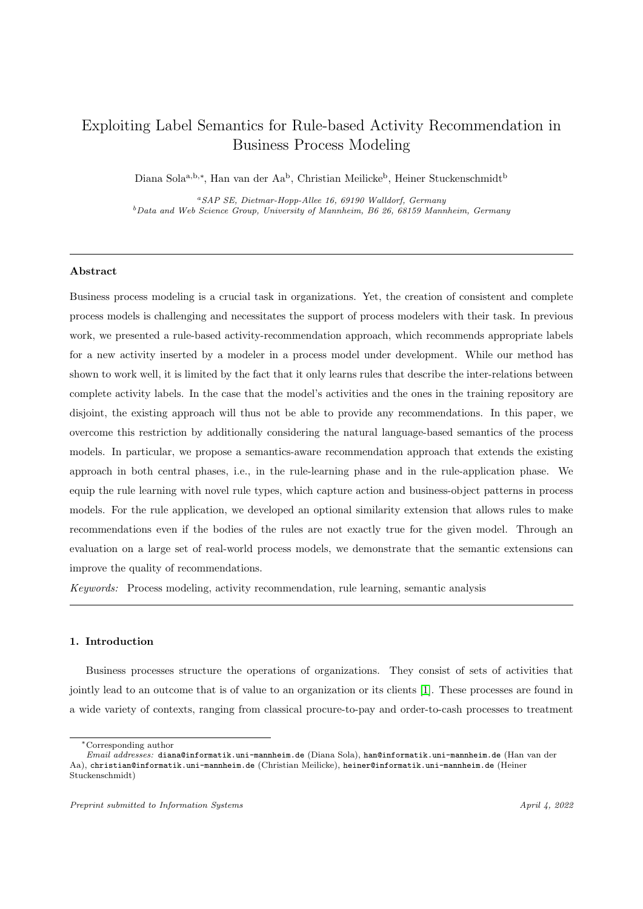# Exploiting Label Semantics for Rule-based Activity Recommendation in Business Process Modeling

Diana Sola<sup>a,b,∗</sup>, Han van der Aa<sup>b</sup>, Christian Meilicke<sup>b</sup>, Heiner Stuckenschmidt<sup>b</sup>

<sup>a</sup>SAP SE, Dietmar-Hopp-Allee 16, 69190 Walldorf, Germany  $b$ Data and Web Science Group, University of Mannheim, B6 26, 68159 Mannheim, Germany

### Abstract

Business process modeling is a crucial task in organizations. Yet, the creation of consistent and complete process models is challenging and necessitates the support of process modelers with their task. In previous work, we presented a rule-based activity-recommendation approach, which recommends appropriate labels for a new activity inserted by a modeler in a process model under development. While our method has shown to work well, it is limited by the fact that it only learns rules that describe the inter-relations between complete activity labels. In the case that the model's activities and the ones in the training repository are disjoint, the existing approach will thus not be able to provide any recommendations. In this paper, we overcome this restriction by additionally considering the natural language-based semantics of the process models. In particular, we propose a semantics-aware recommendation approach that extends the existing approach in both central phases, i.e., in the rule-learning phase and in the rule-application phase. We equip the rule learning with novel rule types, which capture action and business-object patterns in process models. For the rule application, we developed an optional similarity extension that allows rules to make recommendations even if the bodies of the rules are not exactly true for the given model. Through an evaluation on a large set of real-world process models, we demonstrate that the semantic extensions can improve the quality of recommendations.

Keywords: Process modeling, activity recommendation, rule learning, semantic analysis

### 1. Introduction

Business processes structure the operations of organizations. They consist of sets of activities that jointly lead to an outcome that is of value to an organization or its clients [\[1\]](#page-33-0). These processes are found in a wide variety of contexts, ranging from classical procure-to-pay and order-to-cash processes to treatment

<sup>∗</sup>Corresponding author

Email addresses: diana@informatik.uni-mannheim.de (Diana Sola), han@informatik.uni-mannheim.de (Han van der Aa), christian@informatik.uni-mannheim.de (Christian Meilicke), heiner@informatik.uni-mannheim.de (Heiner Stuckenschmidt)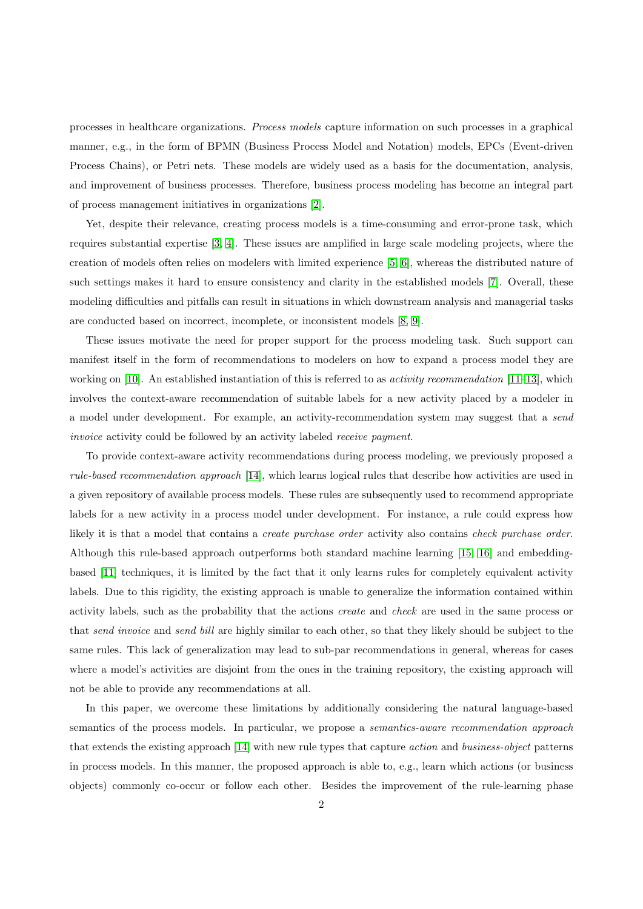processes in healthcare organizations. Process models capture information on such processes in a graphical manner, e.g., in the form of BPMN (Business Process Model and Notation) models, EPCs (Event-driven Process Chains), or Petri nets. These models are widely used as a basis for the documentation, analysis, and improvement of business processes. Therefore, business process modeling has become an integral part of process management initiatives in organizations [\[2\]](#page-33-1).

Yet, despite their relevance, creating process models is a time-consuming and error-prone task, which requires substantial expertise [\[3,](#page-33-2) [4\]](#page-33-3). These issues are amplified in large scale modeling projects, where the creation of models often relies on modelers with limited experience [\[5,](#page-33-4) [6\]](#page-33-5), whereas the distributed nature of such settings makes it hard to ensure consistency and clarity in the established models [\[7\]](#page-33-6). Overall, these modeling difficulties and pitfalls can result in situations in which downstream analysis and managerial tasks are conducted based on incorrect, incomplete, or inconsistent models [\[8,](#page-33-7) [9\]](#page-33-8).

These issues motivate the need for proper support for the process modeling task. Such support can manifest itself in the form of recommendations to modelers on how to expand a process model they are working on [\[10\]](#page-33-9). An established instantiation of this is referred to as *activity recommendation* [\[11](#page-33-10)[–13\]](#page-34-0), which involves the context-aware recommendation of suitable labels for a new activity placed by a modeler in a model under development. For example, an activity-recommendation system may suggest that a send invoice activity could be followed by an activity labeled receive payment.

To provide context-aware activity recommendations during process modeling, we previously proposed a rule-based recommendation approach [\[14\]](#page-34-1), which learns logical rules that describe how activities are used in a given repository of available process models. These rules are subsequently used to recommend appropriate labels for a new activity in a process model under development. For instance, a rule could express how likely it is that a model that contains a *create purchase order* activity also contains *check purchase order*. Although this rule-based approach outperforms both standard machine learning [\[15,](#page-34-2) [16\]](#page-34-3) and embeddingbased [\[11\]](#page-33-10) techniques, it is limited by the fact that it only learns rules for completely equivalent activity labels. Due to this rigidity, the existing approach is unable to generalize the information contained within activity labels, such as the probability that the actions create and check are used in the same process or that send invoice and send bill are highly similar to each other, so that they likely should be subject to the same rules. This lack of generalization may lead to sub-par recommendations in general, whereas for cases where a model's activities are disjoint from the ones in the training repository, the existing approach will not be able to provide any recommendations at all.

In this paper, we overcome these limitations by additionally considering the natural language-based semantics of the process models. In particular, we propose a *semantics-aware recommendation approach* that extends the existing approach [\[14\]](#page-34-1) with new rule types that capture action and business-object patterns in process models. In this manner, the proposed approach is able to, e.g., learn which actions (or business objects) commonly co-occur or follow each other. Besides the improvement of the rule-learning phase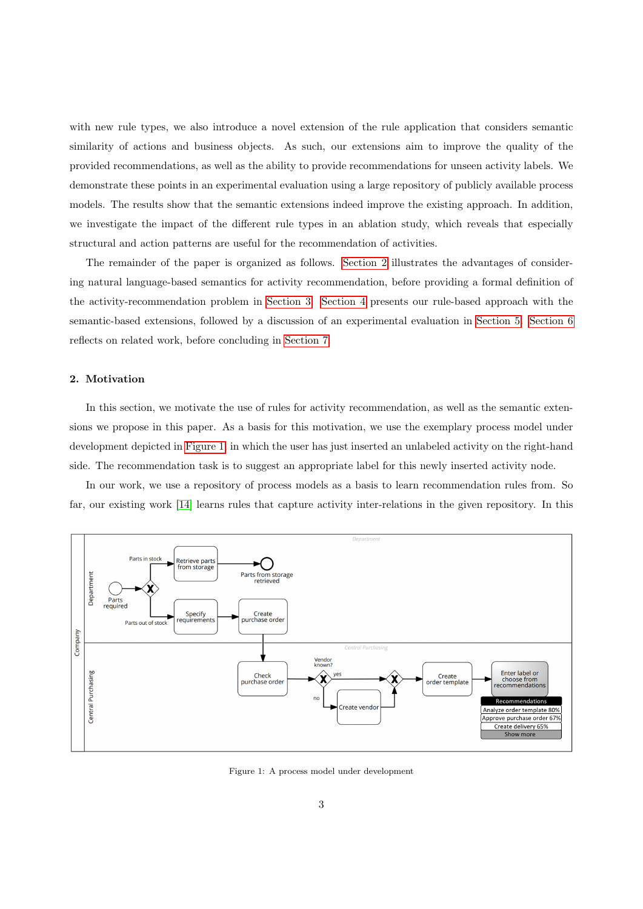with new rule types, we also introduce a novel extension of the rule application that considers semantic similarity of actions and business objects. As such, our extensions aim to improve the quality of the provided recommendations, as well as the ability to provide recommendations for unseen activity labels. We demonstrate these points in an experimental evaluation using a large repository of publicly available process models. The results show that the semantic extensions indeed improve the existing approach. In addition, we investigate the impact of the different rule types in an ablation study, which reveals that especially structural and action patterns are useful for the recommendation of activities.

The remainder of the paper is organized as follows. [Section 2](#page-2-0) illustrates the advantages of considering natural language-based semantics for activity recommendation, before providing a formal definition of the activity-recommendation problem in [Section 3.](#page-4-0) [Section 4](#page-6-0) presents our rule-based approach with the semantic-based extensions, followed by a discussion of an experimental evaluation in [Section 5.](#page-17-0) [Section 6](#page-30-0) reflects on related work, before concluding in [Section 7.](#page-32-0)

# <span id="page-2-0"></span>2. Motivation

In this section, we motivate the use of rules for activity recommendation, as well as the semantic extensions we propose in this paper. As a basis for this motivation, we use the exemplary process model under development depicted in [Figure 1,](#page-2-1) in which the user has just inserted an unlabeled activity on the right-hand side. The recommendation task is to suggest an appropriate label for this newly inserted activity node.

In our work, we use a repository of process models as a basis to learn recommendation rules from. So far, our existing work [\[14\]](#page-34-1) learns rules that capture activity inter-relations in the given repository. In this

<span id="page-2-1"></span>

Figure 1: A process model under development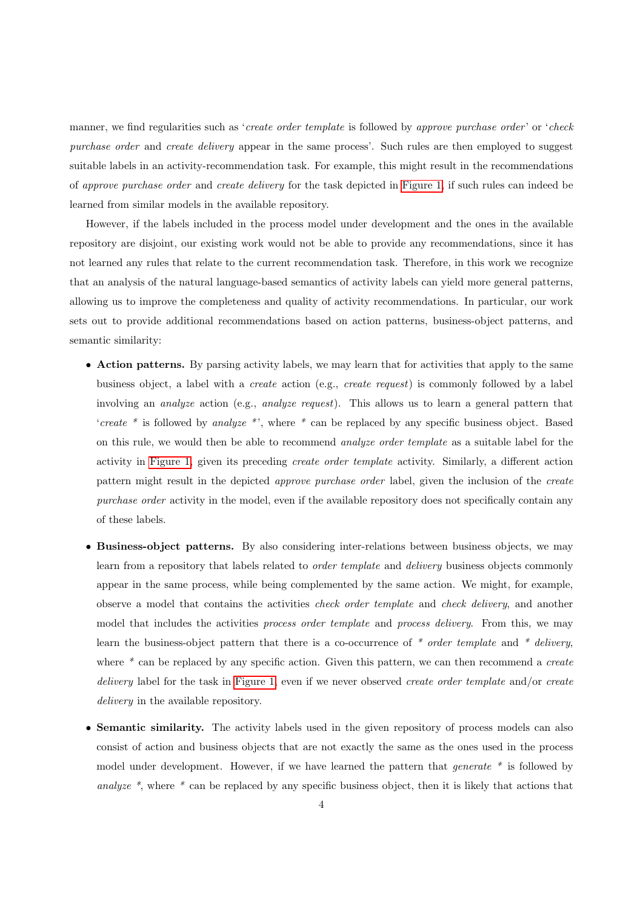manner, we find regularities such as '*create order template* is followed by approve purchase order' or 'check purchase order and create delivery appear in the same process'. Such rules are then employed to suggest suitable labels in an activity-recommendation task. For example, this might result in the recommendations of approve purchase order and create delivery for the task depicted in [Figure 1,](#page-2-1) if such rules can indeed be learned from similar models in the available repository.

However, if the labels included in the process model under development and the ones in the available repository are disjoint, our existing work would not be able to provide any recommendations, since it has not learned any rules that relate to the current recommendation task. Therefore, in this work we recognize that an analysis of the natural language-based semantics of activity labels can yield more general patterns, allowing us to improve the completeness and quality of activity recommendations. In particular, our work sets out to provide additional recommendations based on action patterns, business-object patterns, and semantic similarity:

- Action patterns. By parsing activity labels, we may learn that for activities that apply to the same business object, a label with a create action (e.g., create request) is commonly followed by a label involving an *analyze* action (e.g., *analyze request*). This allows us to learn a general pattern that 'create  $*$  is followed by analyze  $*$ ', where  $*$  can be replaced by any specific business object. Based on this rule, we would then be able to recommend analyze order template as a suitable label for the activity in [Figure 1,](#page-2-1) given its preceding create order template activity. Similarly, a different action pattern might result in the depicted approve purchase order label, given the inclusion of the create purchase order activity in the model, even if the available repository does not specifically contain any of these labels.
- Business-object patterns. By also considering inter-relations between business objects, we may learn from a repository that labels related to *order template* and *delivery* business objects commonly appear in the same process, while being complemented by the same action. We might, for example, observe a model that contains the activities check order template and check delivery, and another model that includes the activities *process order template* and *process delivery*. From this, we may learn the business-object pattern that there is a co-occurrence of  $*$  order template and  $*$  delivery, where  $*$  can be replaced by any specific action. Given this pattern, we can then recommend a *create* delivery label for the task in [Figure 1,](#page-2-1) even if we never observed create order template and/or create delivery in the available repository.
- Semantic similarity. The activity labels used in the given repository of process models can also consist of action and business objects that are not exactly the same as the ones used in the process model under development. However, if we have learned the pattern that *generate* \* is followed by analyze  $*$ , where  $*$  can be replaced by any specific business object, then it is likely that actions that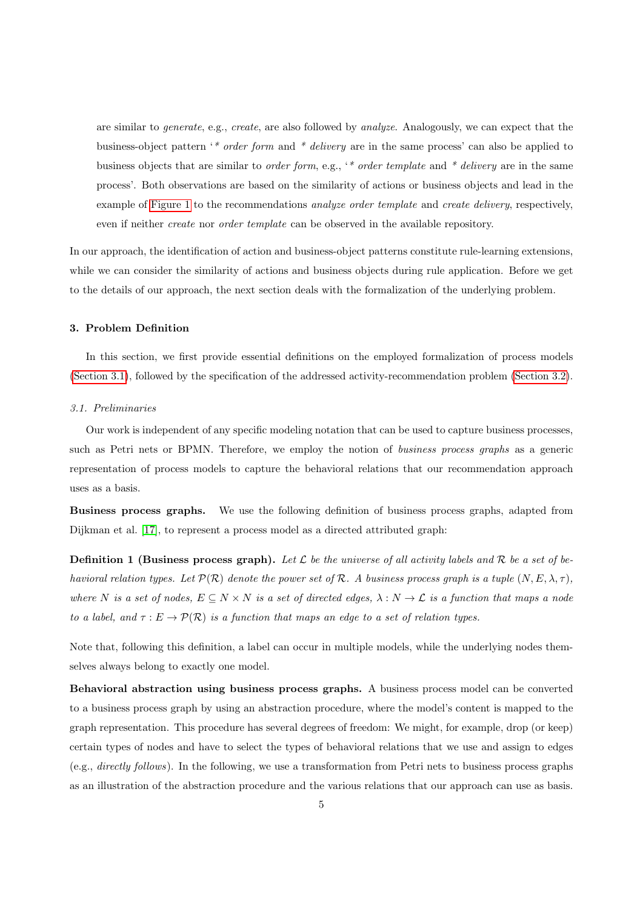are similar to *generate*, e.g., *create*, are also followed by *analyze*. Analogously, we can expect that the business-object pattern '\* order form and \* delivery are in the same process' can also be applied to business objects that are similar to order form, e.g., '\* order template and \* delivery are in the same process'. Both observations are based on the similarity of actions or business objects and lead in the example of [Figure 1](#page-2-1) to the recommendations *analyze order template* and *create delivery*, respectively, even if neither *create* nor *order template* can be observed in the available repository.

In our approach, the identification of action and business-object patterns constitute rule-learning extensions, while we can consider the similarity of actions and business objects during rule application. Before we get to the details of our approach, the next section deals with the formalization of the underlying problem.

# <span id="page-4-0"></span>3. Problem Definition

In this section, we first provide essential definitions on the employed formalization of process models [\(Section 3.1\)](#page-4-1), followed by the specification of the addressed activity-recommendation problem [\(Section 3.2\)](#page-6-1).

### <span id="page-4-1"></span>3.1. Preliminaries

Our work is independent of any specific modeling notation that can be used to capture business processes, such as Petri nets or BPMN. Therefore, we employ the notion of business process graphs as a generic representation of process models to capture the behavioral relations that our recommendation approach uses as a basis.

Business process graphs. We use the following definition of business process graphs, adapted from Dijkman et al. [\[17\]](#page-34-4), to represent a process model as a directed attributed graph:

**Definition 1 (Business process graph).** Let  $\mathcal{L}$  be the universe of all activity labels and  $\mathcal{R}$  be a set of behavioral relation types. Let  $\mathcal{P}(\mathcal{R})$  denote the power set of R. A business process graph is a tuple  $(N, E, \lambda, \tau)$ , where N is a set of nodes,  $E \subseteq N \times N$  is a set of directed edges,  $\lambda : N \to \mathcal{L}$  is a function that maps a node to a label, and  $\tau : E \to \mathcal{P}(\mathcal{R})$  is a function that maps an edge to a set of relation types.

Note that, following this definition, a label can occur in multiple models, while the underlying nodes themselves always belong to exactly one model.

Behavioral abstraction using business process graphs. A business process model can be converted to a business process graph by using an abstraction procedure, where the model's content is mapped to the graph representation. This procedure has several degrees of freedom: We might, for example, drop (or keep) certain types of nodes and have to select the types of behavioral relations that we use and assign to edges (e.g., directly follows). In the following, we use a transformation from Petri nets to business process graphs as an illustration of the abstraction procedure and the various relations that our approach can use as basis.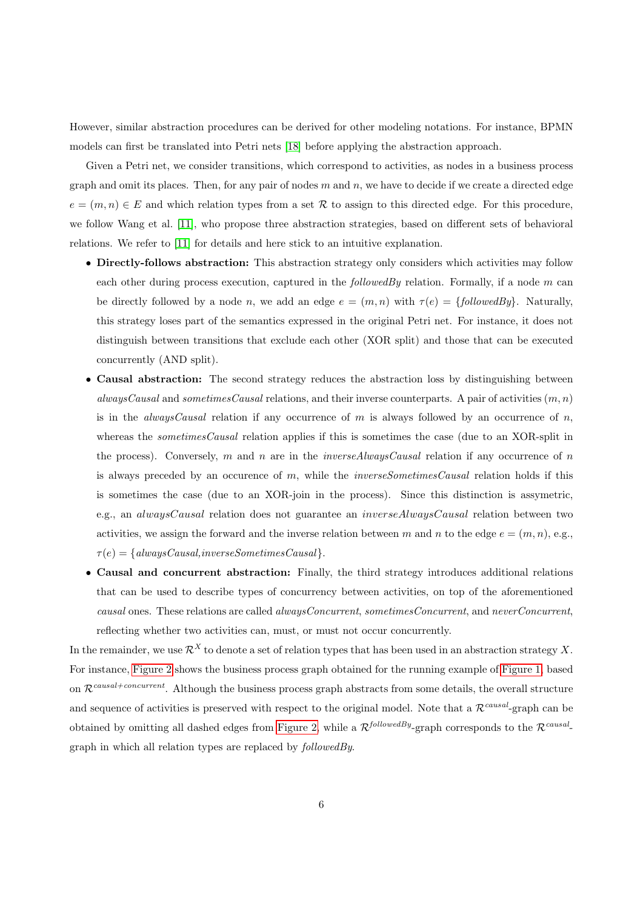However, similar abstraction procedures can be derived for other modeling notations. For instance, BPMN models can first be translated into Petri nets [\[18\]](#page-34-5) before applying the abstraction approach.

Given a Petri net, we consider transitions, which correspond to activities, as nodes in a business process graph and omit its places. Then, for any pair of nodes  $m$  and  $n$ , we have to decide if we create a directed edge  $e = (m, n) \in E$  and which relation types from a set R to assign to this directed edge. For this procedure, we follow Wang et al. [\[11\]](#page-33-10), who propose three abstraction strategies, based on different sets of behavioral relations. We refer to [\[11\]](#page-33-10) for details and here stick to an intuitive explanation.

- Directly-follows abstraction: This abstraction strategy only considers which activities may follow each other during process execution, captured in the *followedBy* relation. Formally, if a node  $m$  can be directly followed by a node n, we add an edge  $e = (m, n)$  with  $\tau(e) = \{followed By\}$ . Naturally, this strategy loses part of the semantics expressed in the original Petri net. For instance, it does not distinguish between transitions that exclude each other (XOR split) and those that can be executed concurrently (AND split).
- Causal abstraction: The second strategy reduces the abstraction loss by distinguishing between alwaysCausal and sometimesCausal relations, and their inverse counterparts. A pair of activities  $(m, n)$ is in the *alwaysCausal* relation if any occurrence of m is always followed by an occurrence of  $n$ , whereas the *sometimesCausal* relation applies if this is sometimes the case (due to an XOR-split in the process). Conversely, m and n are in the *inverseAlwaysCausal* relation if any occurrence of n is always preceded by an occurence of  $m$ , while the *inverseSometimesCausal* relation holds if this is sometimes the case (due to an XOR-join in the process). Since this distinction is assymetric, e.g., an alwaysCausal relation does not guarantee an inverseAlwaysCausal relation between two activities, we assign the forward and the inverse relation between m and n to the edge  $e = (m, n)$ , e.g.,  $\tau(e) = \{alwaysCausal, inverseSometimesCausal\}.$
- Causal and concurrent abstraction: Finally, the third strategy introduces additional relations that can be used to describe types of concurrency between activities, on top of the aforementioned causal ones. These relations are called alwaysConcurrent, sometimesConcurrent, and neverConcurrent, reflecting whether two activities can, must, or must not occur concurrently.

In the remainder, we use  $\mathcal{R}^X$  to denote a set of relation types that has been used in an abstraction strategy X. For instance, [Figure 2](#page-6-2) shows the business process graph obtained for the running example of [Figure 1,](#page-2-1) based on  $\mathcal{R}^{causal+concurrent}$ . Although the business process graph abstracts from some details, the overall structure and sequence of activities is preserved with respect to the original model. Note that a  $\mathcal{R}^{causal}$ -graph can be obtained by omitting all dashed edges from [Figure 2,](#page-6-2) while a  $\mathcal{R}^{followed By}$ -graph corresponds to the  $\mathcal{R}^{causal}$ graph in which all relation types are replaced by followedBy.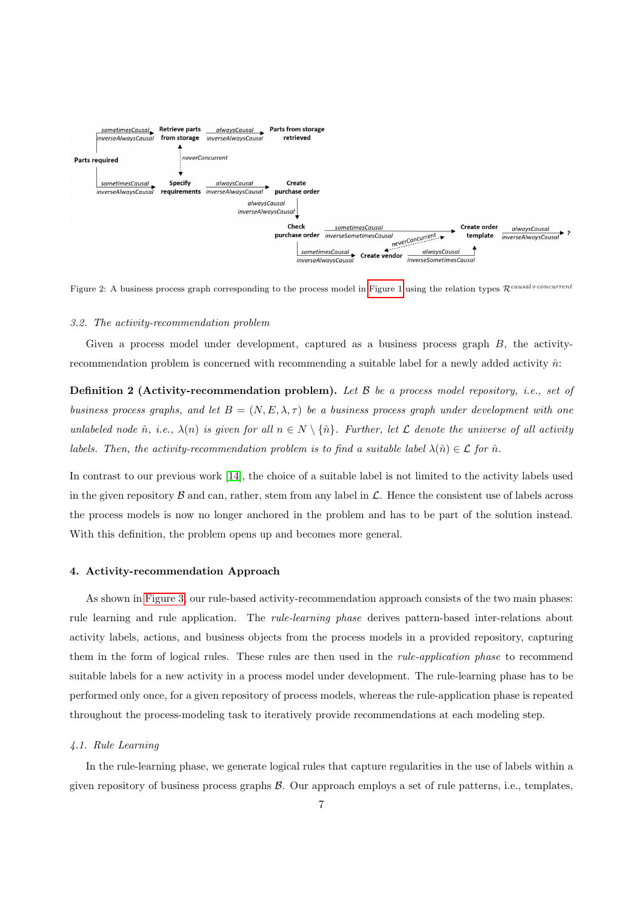<span id="page-6-2"></span>

Figure 2: A business process graph corresponding to the process model in [Figure 1](#page-2-1) using the relation types  $\mathcal{R}^{causal+concurrent}$ 

### <span id="page-6-1"></span>3.2. The activity-recommendation problem

Given a process model under development, captured as a business process graph B, the activityrecommendation problem is concerned with recommending a suitable label for a newly added activity  $\hat{n}$ :

**Definition 2 (Activity-recommendation problem).** Let  $\beta$  be a process model repository, i.e., set of business process graphs, and let  $B = (N, E, \lambda, \tau)$  be a business process graph under development with one unlabeled node  $\hat{n}$ , i.e.,  $\lambda(n)$  is given for all  $n \in N \setminus {\hat{n}}$ . Further, let  $\mathcal L$  denote the universe of all activity labels. Then, the activity-recommendation problem is to find a suitable label  $\lambda(\hat{n}) \in \mathcal{L}$  for  $\hat{n}$ .

In contrast to our previous work [\[14\]](#page-34-1), the choice of a suitable label is not limited to the activity labels used in the given repository  $\beta$  and can, rather, stem from any label in  $\mathcal{L}$ . Hence the consistent use of labels across the process models is now no longer anchored in the problem and has to be part of the solution instead. With this definition, the problem opens up and becomes more general.

### <span id="page-6-0"></span>4. Activity-recommendation Approach

As shown in [Figure 3,](#page-7-0) our rule-based activity-recommendation approach consists of the two main phases: rule learning and rule application. The rule-learning phase derives pattern-based inter-relations about activity labels, actions, and business objects from the process models in a provided repository, capturing them in the form of logical rules. These rules are then used in the rule-application phase to recommend suitable labels for a new activity in a process model under development. The rule-learning phase has to be performed only once, for a given repository of process models, whereas the rule-application phase is repeated throughout the process-modeling task to iteratively provide recommendations at each modeling step.

### <span id="page-6-3"></span>4.1. Rule Learning

In the rule-learning phase, we generate logical rules that capture regularities in the use of labels within a given repository of business process graphs  $\mathcal{B}$ . Our approach employs a set of rule patterns, i.e., templates,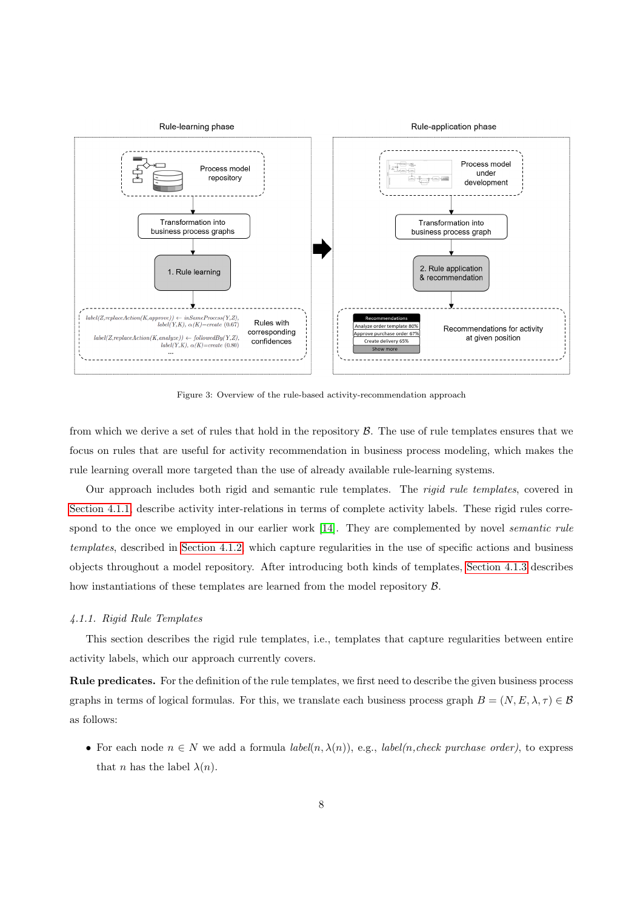<span id="page-7-0"></span>

Figure 3: Overview of the rule-based activity-recommendation approach

from which we derive a set of rules that hold in the repository  $\beta$ . The use of rule templates ensures that we focus on rules that are useful for activity recommendation in business process modeling, which makes the rule learning overall more targeted than the use of already available rule-learning systems.

Our approach includes both rigid and semantic rule templates. The rigid rule templates, covered in [Section 4.1.1,](#page-7-1) describe activity inter-relations in terms of complete activity labels. These rigid rules corre-spond to the once we employed in our earlier work [\[14\]](#page-34-1). They are complemented by novel *semantic rule* templates, described in [Section 4.1.2,](#page-10-0) which capture regularities in the use of specific actions and business objects throughout a model repository. After introducing both kinds of templates, [Section 4.1.3](#page-13-0) describes how instantiations of these templates are learned from the model repository  $\beta$ .

# <span id="page-7-1"></span>4.1.1. Rigid Rule Templates

This section describes the rigid rule templates, i.e., templates that capture regularities between entire activity labels, which our approach currently covers.

Rule predicates. For the definition of the rule templates, we first need to describe the given business process graphs in terms of logical formulas. For this, we translate each business process graph  $B = (N, E, \lambda, \tau) \in \mathcal{B}$ as follows:

• For each node  $n \in N$  we add a formula *label*(n,  $\lambda(n)$ ), e.g., *label*(n, check purchase order), to express that *n* has the label  $\lambda(n)$ .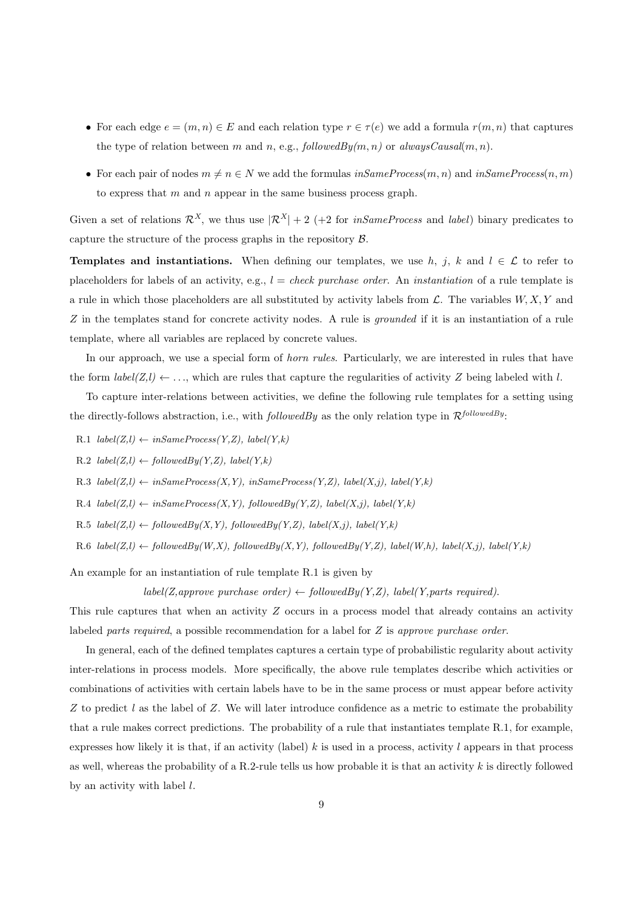- For each edge  $e = (m, n) \in E$  and each relation type  $r \in \tau(e)$  we add a formula  $r(m, n)$  that captures the type of relation between m and n, e.g., followed  $By(m, n)$  or always Causal $(m, n)$ .
- For each pair of nodes  $m \neq n \in N$  we add the formulas  $inSameProcess(m, n)$  and  $inSameProcess(n, m)$ to express that  $m$  and  $n$  appear in the same business process graph.

Given a set of relations  $\mathcal{R}^X$ , we thus use  $|\mathcal{R}^X| + 2$  (+2 for *inSameProcess* and *label*) binary predicates to capture the structure of the process graphs in the repository B.

**Templates and instantiations.** When defining our templates, we use h, j, k and  $l \in \mathcal{L}$  to refer to placeholders for labels of an activity, e.g.,  $l = check\ pure\ base\ order$ . An *instantiation* of a rule template is a rule in which those placeholders are all substituted by activity labels from  $\mathcal{L}$ . The variables  $W, X, Y$  and Z in the templates stand for concrete activity nodes. A rule is *grounded* if it is an instantiation of a rule template, where all variables are replaced by concrete values.

In our approach, we use a special form of *horn rules*. Particularly, we are interested in rules that have the form  $label(Z, l) \leftarrow \ldots$ , which are rules that capture the regularities of activity Z being labeled with l.

To capture inter-relations between activities, we define the following rule templates for a setting using the directly-follows abstraction, i.e., with *followedBy* as the only relation type in  $\mathcal{R}^{followedBy}$ :

- R.1  $label(Z, l) \leftarrow inSameProcess(Y, Z), label(Y, k)$
- R.2  $label(Z, l) \leftarrow followedBy(Y, Z), label(Y, k)$
- R.3  $label(Z, l) \leftarrow inSameProcess(X, Y), inSameProcess(Y, Z), label(X, j), label(Y, k)$
- $R.4$   $label(Z, l) \leftarrow inSameProcess(X, Y), followedBy(Y, Z), label(X, j), label(Y, k)$
- R.5  $label(Z, l) \leftarrow followedBy(X, Y), followedBy(Y, Z), label(X, j), label(Y, k)$
- R.6  $label(Z, l) \leftarrow followedBy(X, Y), followedBy(X, Y), followedBy(Y, Z), label(W, h), label(X, j), label(Y, k)$

An example for an instantiation of rule template R.1 is given by

 $label(Z,approx$  purchase order)  $\leftarrow$  followedBy(Y,Z), label(Y,parts required).

This rule captures that when an activity Z occurs in a process model that already contains an activity labeled parts required, a possible recommendation for a label for Z is approve purchase order.

In general, each of the defined templates captures a certain type of probabilistic regularity about activity inter-relations in process models. More specifically, the above rule templates describe which activities or combinations of activities with certain labels have to be in the same process or must appear before activity Z to predict l as the label of  $Z$ . We will later introduce confidence as a metric to estimate the probability that a rule makes correct predictions. The probability of a rule that instantiates template R.1, for example, expresses how likely it is that, if an activity (label) k is used in a process, activity l appears in that process as well, whereas the probability of a R.2-rule tells us how probable it is that an activity  $k$  is directly followed by an activity with label  $l$ .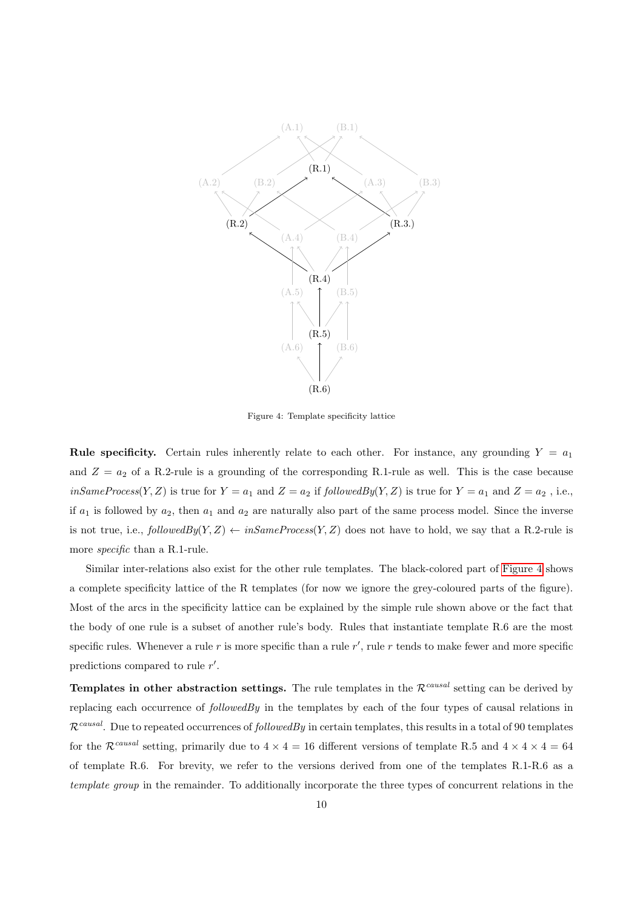<span id="page-9-0"></span>

Figure 4: Template specificity lattice

**Rule specificity.** Certain rules inherently relate to each other. For instance, any grounding  $Y = a_1$ and  $Z = a_2$  of a R.2-rule is a grounding of the corresponding R.1-rule as well. This is the case because  $inSameProcess(Y, Z)$  is true for  $Y = a_1$  and  $Z = a_2$  if  $followedBy(Y, Z)$  is true for  $Y = a_1$  and  $Z = a_2$ , i.e., if  $a_1$  is followed by  $a_2$ , then  $a_1$  and  $a_2$  are naturally also part of the same process model. Since the inverse is not true, i.e.,  $followedBy(Y, Z) \leftarrow inSameProcess(Y, Z)$  does not have to hold, we say that a R.2-rule is more specific than a R.1-rule.

Similar inter-relations also exist for the other rule templates. The black-colored part of [Figure 4](#page-9-0) shows a complete specificity lattice of the R templates (for now we ignore the grey-coloured parts of the figure). Most of the arcs in the specificity lattice can be explained by the simple rule shown above or the fact that the body of one rule is a subset of another rule's body. Rules that instantiate template R.6 are the most specific rules. Whenever a rule  $r$  is more specific than a rule  $r'$ , rule  $r$  tends to make fewer and more specific predictions compared to rule  $r'$ .

**Templates in other abstraction settings.** The rule templates in the  $\mathcal{R}^{causal}$  setting can be derived by replacing each occurrence of  $followedBy$  in the templates by each of the four types of causal relations in  $\mathcal{R}^{causal}$ . Due to repeated occurrences of *followedBy* in certain templates, this results in a total of 90 templates for the  $\mathcal{R}^{causal}$  setting, primarily due to  $4 \times 4 = 16$  different versions of template R.5 and  $4 \times 4 \times 4 = 64$ of template R.6. For brevity, we refer to the versions derived from one of the templates R.1-R.6 as a template group in the remainder. To additionally incorporate the three types of concurrent relations in the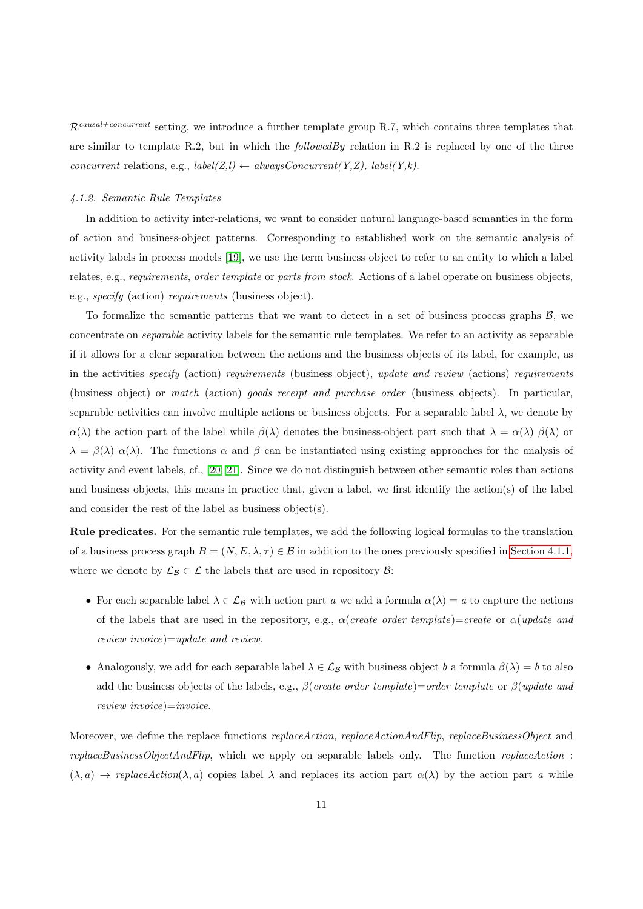$\mathcal{R}^{causal-concurrent}$  setting, we introduce a further template group R.7, which contains three templates that are similar to template R.2, but in which the  $followed By$  relation in R.2 is replaced by one of the three concurrent relations, e.g.,  $label(Z, l) \leftarrow alwaysConcurrent(Y, Z), label(Y, k).$ 

### <span id="page-10-0"></span>4.1.2. Semantic Rule Templates

In addition to activity inter-relations, we want to consider natural language-based semantics in the form of action and business-object patterns. Corresponding to established work on the semantic analysis of activity labels in process models [\[19\]](#page-34-6), we use the term business object to refer to an entity to which a label relates, e.g., requirements, order template or parts from stock. Actions of a label operate on business objects, e.g., specify (action) requirements (business object).

To formalize the semantic patterns that we want to detect in a set of business process graphs  $\mathcal{B}$ , we concentrate on separable activity labels for the semantic rule templates. We refer to an activity as separable if it allows for a clear separation between the actions and the business objects of its label, for example, as in the activities specify (action) requirements (business object), update and review (actions) requirements (business object) or match (action) goods receipt and purchase order (business objects). In particular, separable activities can involve multiple actions or business objects. For a separable label  $\lambda$ , we denote by  $\alpha(\lambda)$  the action part of the label while  $\beta(\lambda)$  denotes the business-object part such that  $\lambda = \alpha(\lambda)$   $\beta(\lambda)$  or  $\lambda = \beta(\lambda) \alpha(\lambda)$ . The functions  $\alpha$  and  $\beta$  can be instantiated using existing approaches for the analysis of activity and event labels, cf., [\[20,](#page-34-7) [21\]](#page-34-8). Since we do not distinguish between other semantic roles than actions and business objects, this means in practice that, given a label, we first identify the action(s) of the label and consider the rest of the label as business object(s).

Rule predicates. For the semantic rule templates, we add the following logical formulas to the translation of a business process graph  $B = (N, E, \lambda, \tau) \in \mathcal{B}$  in addition to the ones previously specified in [Section 4.1.1,](#page-7-1) where we denote by  $\mathcal{L}_{\mathcal{B}} \subset \mathcal{L}$  the labels that are used in repository  $\mathcal{B}$ :

- For each separable label  $\lambda \in \mathcal{L}_\mathcal{B}$  with action part a we add a formula  $\alpha(\lambda) = a$  to capture the actions of the labels that are used in the repository, e.g.,  $\alpha$  (create order template)=create or  $\alpha$  (update and review invoice)=update and review.
- Analogously, we add for each separable label  $\lambda \in \mathcal{L}_B$  with business object b a formula  $\beta(\lambda) = b$  to also add the business objects of the labels, e.g.,  $\beta$ (create order template)=order template or  $\beta$ (update and  $review \, \, invoice) = invoice.$

Moreover, we define the replace functions *replaceAction*, *replaceActionAndFlip, replaceBusinessObject* and replaceBusinessObjectAndFlip, which we apply on separable labels only. The function replaceAction :  $(\lambda, a) \rightarrow replacement(\lambda, a)$  copies label  $\lambda$  and replaces its action part  $\alpha(\lambda)$  by the action part a while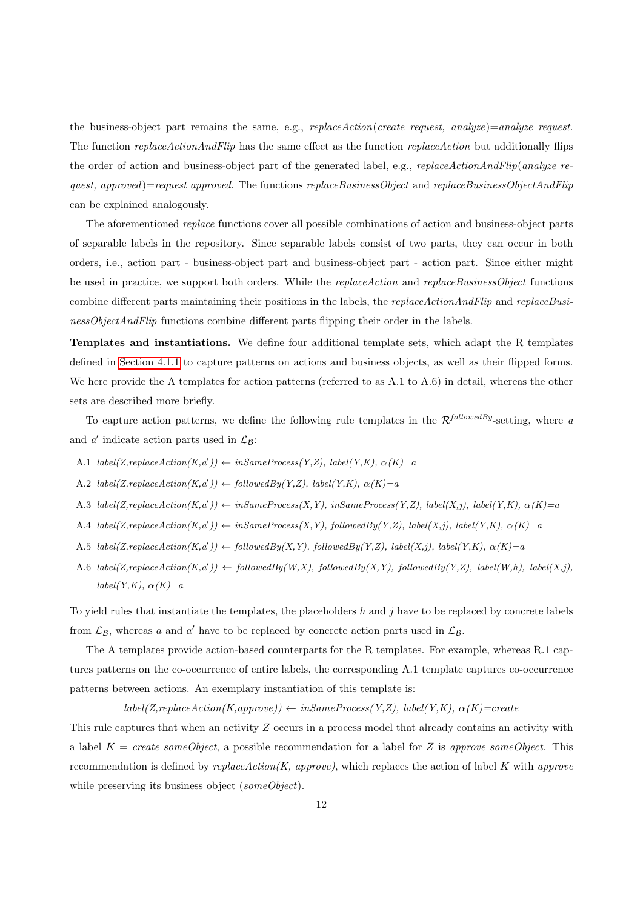the business-object part remains the same, e.g.,  $replaceAction(create \; request, \; analyze) = analyze \; request.$ The function *replaceActionAndFlip* has the same effect as the function *replaceAction* but additionally flips the order of action and business-object part of the generated label, e.g., *replaceActionAndFlip(analyze re*quest, approved)=request approved. The functions replaceBusinessObject and replaceBusinessObjectAndFlip can be explained analogously.

The aforementioned replace functions cover all possible combinations of action and business-object parts of separable labels in the repository. Since separable labels consist of two parts, they can occur in both orders, i.e., action part - business-object part and business-object part - action part. Since either might be used in practice, we support both orders. While the *replaceAction* and *replaceBusinessObject* functions combine different parts maintaining their positions in the labels, the *replaceActionAndFlip* and *replaceBusi*nessObjectAndFlip functions combine different parts flipping their order in the labels.

Templates and instantiations. We define four additional template sets, which adapt the R templates defined in [Section 4.1.1](#page-7-1) to capture patterns on actions and business objects, as well as their flipped forms. We here provide the A templates for action patterns (referred to as A.1 to A.6) in detail, whereas the other sets are described more briefly.

To capture action patterns, we define the following rule templates in the  $\mathcal{R}^{followedBy}$ -setting, where a and  $a'$  indicate action parts used in  $\mathcal{L}_{\mathcal{B}}$ :

- A.1  $label(Z, replaceAction(K, a')) \leftarrow inSameProcess(Y, Z), label(Y, K), \alpha(K)=a$
- A.2  $label(Z, replaceAction(K, a')) \leftarrow followedBy(Y, Z), label(Y, K), \alpha(K)=a$
- A.3 label(Z,replaceAction(K,a'))  $\leftarrow$  inSameProcess(X,Y), inSameProcess(Y,Z), label(X,j), label(Y,K),  $\alpha(K)=a$
- A.4 label(Z,replaceAction(K,a'))  $\leftarrow$  inSameProcess(X,Y), followedBy(Y,Z), label(X,j), label(Y,K),  $\alpha(K)=a$
- A.5 label(Z,replaceAction(K,a'))  $\leftarrow$  followedBy(X,Y), followedBy(Y,Z), label(X,j), label(Y,K),  $\alpha(K)=a$
- A.6 label(Z,replaceAction(K,a')) ← followedBy(W,X), followedBy(X,Y), followedBy(Y,Z), label(W,h), label(X,j),  $label(Y,K), \alpha(K)=a$

To yield rules that instantiate the templates, the placeholders h and j have to be replaced by concrete labels from  $\mathcal{L}_{\mathcal{B}}$ , whereas a and a' have to be replaced by concrete action parts used in  $\mathcal{L}_{\mathcal{B}}$ .

The A templates provide action-based counterparts for the R templates. For example, whereas R.1 captures patterns on the co-occurrence of entire labels, the corresponding A.1 template captures co-occurrence patterns between actions. An exemplary instantiation of this template is:

 $label(Z, replace Action(K, appropriate)) \leftarrow inSameProcess(Y, Z), label(Y, K), \alpha(K) = create$ 

This rule captures that when an activity Z occurs in a process model that already contains an activity with a label  $K = create\; someObject$ , a possible recommendation for a label for Z is approve some Object. This recommendation is defined by  $replaceAction(K, approve)$ , which replaces the action of label K with approve while preserving its business object (someObject).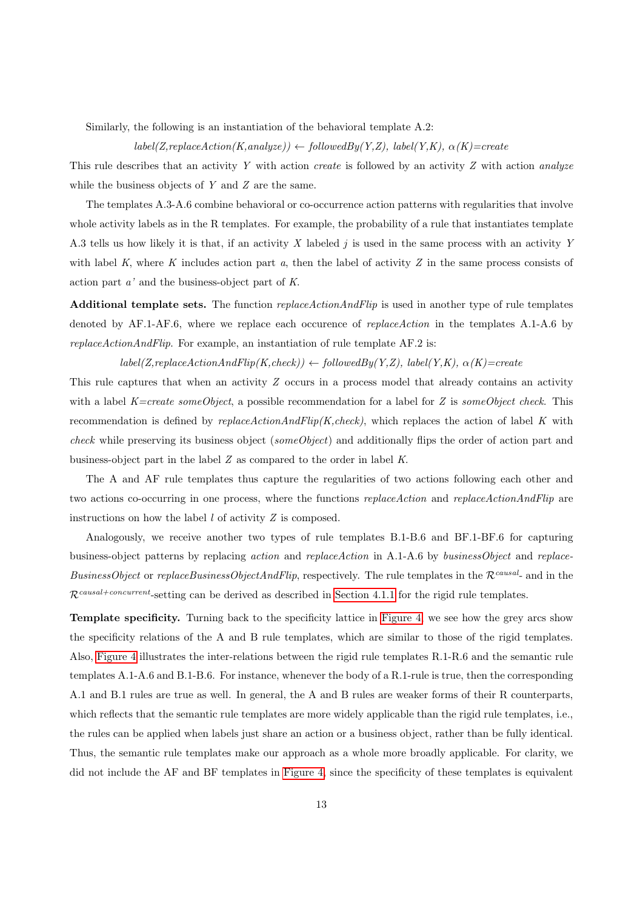Similarly, the following is an instantiation of the behavioral template A.2:

 $label(Z, replaceAction(K, analyze)) \leftarrow followedBy(Y,Z), label(Y,K), \alpha(K)=create$ 

This rule describes that an activity Y with action *create* is followed by an activity Z with action *analyze* while the business objects of Y and Z are the same.

The templates A.3-A.6 combine behavioral or co-occurrence action patterns with regularities that involve whole activity labels as in the R templates. For example, the probability of a rule that instantiates template A.3 tells us how likely it is that, if an activity X labeled  $j$  is used in the same process with an activity Y with label K, where K includes action part  $a$ , then the label of activity Z in the same process consists of action part a' and the business-object part of K.

Additional template sets. The function *replaceActionAndFlip* is used in another type of rule templates denoted by AF.1-AF.6, where we replace each occurence of replaceAction in the templates A.1-A.6 by replaceActionAndFlip. For example, an instantiation of rule template AF.2 is:

 $label(Z, replaceActionAndFlip(K,check)) \leftarrow followedBy(Y,Z), label(Y,K), \alpha(K)=create$ 

This rule captures that when an activity Z occurs in a process model that already contains an activity with a label  $K=create\;someObject$ , a possible recommendation for a label for Z is some Object check. This recommendation is defined by  $replaceActionAndFlip(K,check)$ , which replaces the action of label K with check while preserving its business object (someObject) and additionally flips the order of action part and business-object part in the label Z as compared to the order in label K.

The A and AF rule templates thus capture the regularities of two actions following each other and two actions co-occurring in one process, where the functions *replaceAction* and *replaceActionAndFlip* are instructions on how the label  $l$  of activity  $Z$  is composed.

Analogously, we receive another two types of rule templates B.1-B.6 and BF.1-BF.6 for capturing business-object patterns by replacing action and replaceAction in A.1-A.6 by businessObject and replace-BusinessObject or replaceBusinessObjectAndFlip, respectively. The rule templates in the  $\mathcal{R}^{causal}$ - and in the  $\mathcal{R}^{causal-concurrent-setting}$  can be derived as described in [Section 4.1.1](#page-7-1) for the rigid rule templates.

Template specificity. Turning back to the specificity lattice in [Figure 4,](#page-9-0) we see how the grey arcs show the specificity relations of the A and B rule templates, which are similar to those of the rigid templates. Also, [Figure 4](#page-9-0) illustrates the inter-relations between the rigid rule templates R.1-R.6 and the semantic rule templates A.1-A.6 and B.1-B.6. For instance, whenever the body of a R.1-rule is true, then the corresponding A.1 and B.1 rules are true as well. In general, the A and B rules are weaker forms of their R counterparts, which reflects that the semantic rule templates are more widely applicable than the rigid rule templates, i.e., the rules can be applied when labels just share an action or a business object, rather than be fully identical. Thus, the semantic rule templates make our approach as a whole more broadly applicable. For clarity, we did not include the AF and BF templates in [Figure 4,](#page-9-0) since the specificity of these templates is equivalent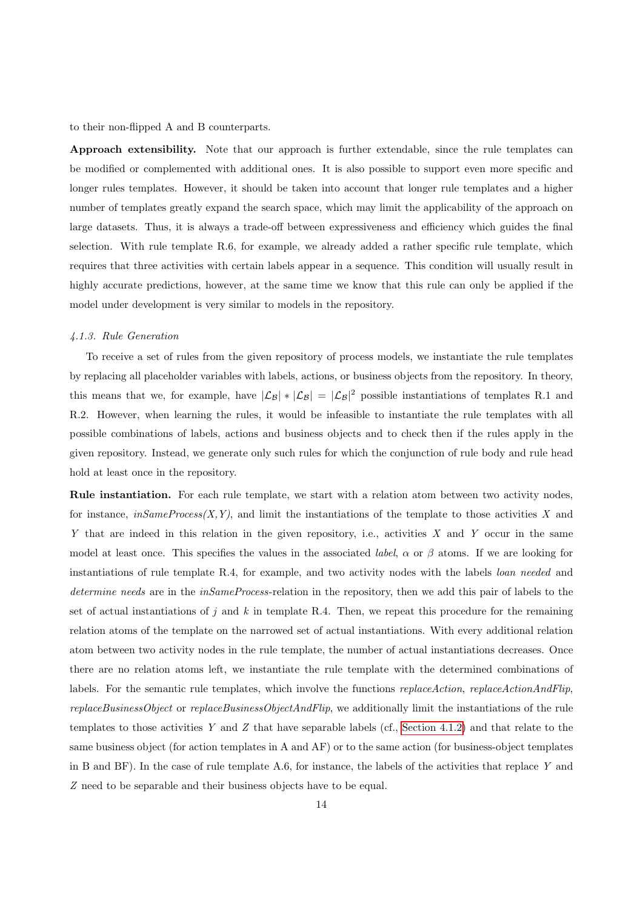to their non-flipped A and B counterparts.

Approach extensibility. Note that our approach is further extendable, since the rule templates can be modified or complemented with additional ones. It is also possible to support even more specific and longer rules templates. However, it should be taken into account that longer rule templates and a higher number of templates greatly expand the search space, which may limit the applicability of the approach on large datasets. Thus, it is always a trade-off between expressiveness and efficiency which guides the final selection. With rule template R.6, for example, we already added a rather specific rule template, which requires that three activities with certain labels appear in a sequence. This condition will usually result in highly accurate predictions, however, at the same time we know that this rule can only be applied if the model under development is very similar to models in the repository.

### <span id="page-13-0"></span>4.1.3. Rule Generation

To receive a set of rules from the given repository of process models, we instantiate the rule templates by replacing all placeholder variables with labels, actions, or business objects from the repository. In theory, this means that we, for example, have  $|\mathcal{L}_{\mathcal{B}}| * |\mathcal{L}_{\mathcal{B}}| = |\mathcal{L}_{\mathcal{B}}|^2$  possible instantiations of templates R.1 and R.2. However, when learning the rules, it would be infeasible to instantiate the rule templates with all possible combinations of labels, actions and business objects and to check then if the rules apply in the given repository. Instead, we generate only such rules for which the conjunction of rule body and rule head hold at least once in the repository.

Rule instantiation. For each rule template, we start with a relation atom between two activity nodes, for instance,  $inSameProcess(X, Y)$ , and limit the instantiations of the template to those activities X and Y that are indeed in this relation in the given repository, i.e., activities  $X$  and  $Y$  occur in the same model at least once. This specifies the values in the associated *label*,  $\alpha$  or  $\beta$  atoms. If we are looking for instantiations of rule template R.4, for example, and two activity nodes with the labels loan needed and determine needs are in the inSameProcess-relation in the repository, then we add this pair of labels to the set of actual instantiations of j and k in template R.4. Then, we repeat this procedure for the remaining relation atoms of the template on the narrowed set of actual instantiations. With every additional relation atom between two activity nodes in the rule template, the number of actual instantiations decreases. Once there are no relation atoms left, we instantiate the rule template with the determined combinations of labels. For the semantic rule templates, which involve the functions *replaceAction*, *replaceActionAndFlip*,  $replaceBusinessObject$  or  $replaceBusinessObjectAndFlip$ , we additionally limit the instantiations of the rule templates to those activities Y and Z that have separable labels (cf., [Section 4.1.2\)](#page-10-0) and that relate to the same business object (for action templates in A and AF) or to the same action (for business-object templates in B and BF). In the case of rule template A.6, for instance, the labels of the activities that replace Y and Z need to be separable and their business objects have to be equal.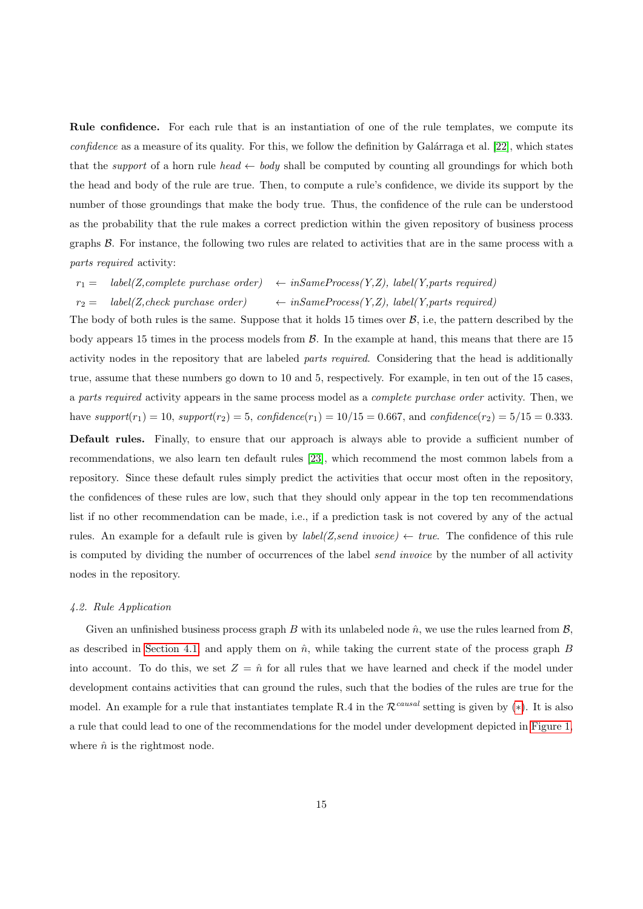Rule confidence. For each rule that is an instantiation of one of the rule templates, we compute its  $confidence$  as a measure of its quality. For this, we follow the definition by Galárraga et al. [\[22\]](#page-34-9), which states that the *support* of a horn rule head  $\leftarrow$  body shall be computed by counting all groundings for which both the head and body of the rule are true. Then, to compute a rule's confidence, we divide its support by the number of those groundings that make the body true. Thus, the confidence of the rule can be understood as the probability that the rule makes a correct prediction within the given repository of business process graphs B. For instance, the following two rules are related to activities that are in the same process with a parts required activity:

 $r_1 = \text{label}(Z,complete \text{ purchase order}) \leftarrow inSameProcess(Y, Z), \text{label}(Y, parts \text{ required})$ 

 $r_2 =$  label(Z, check purchase order)  $\leftarrow$  inSameProcess(Y,Z), label(Y, parts required)

The body of both rules is the same. Suppose that it holds 15 times over  $\mathcal{B}$ , i.e, the pattern described by the body appears 15 times in the process models from  $\beta$ . In the example at hand, this means that there are 15 activity nodes in the repository that are labeled parts required. Considering that the head is additionally true, assume that these numbers go down to 10 and 5, respectively. For example, in ten out of the 15 cases, a parts required activity appears in the same process model as a complete purchase order activity. Then, we have support( $r_1$ ) = 10, support( $r_2$ ) = 5, confidence( $r_1$ ) = 10/15 = 0.667, and confidence( $r_2$ ) = 5/15 = 0.333. Default rules. Finally, to ensure that our approach is always able to provide a sufficient number of recommendations, we also learn ten default rules [\[23\]](#page-34-10), which recommend the most common labels from a repository. Since these default rules simply predict the activities that occur most often in the repository, the confidences of these rules are low, such that they should only appear in the top ten recommendations list if no other recommendation can be made, i.e., if a prediction task is not covered by any of the actual rules. An example for a default rule is given by  $label(Z,send\ invoice) \leftarrow true$ . The confidence of this rule is computed by dividing the number of occurrences of the label *send invoice* by the number of all activity

# <span id="page-14-0"></span>4.2. Rule Application

nodes in the repository.

Given an unfinished business process graph B with its unlabeled node  $\hat{n}$ , we use the rules learned from  $\mathcal{B}$ , as described in [Section 4.1,](#page-6-3) and apply them on  $\hat{n}$ , while taking the current state of the process graph B into account. To do this, we set  $Z = \hat{n}$  for all rules that we have learned and check if the model under development contains activities that can ground the rules, such that the bodies of the rules are true for the model. An example for a rule that instantiates template R.4 in the  $\mathcal{R}^{causal}$  setting is given by (\*). It is also a rule that could lead to one of the recommendations for the model under development depicted in [Figure 1,](#page-2-1) where  $\hat{n}$  is the rightmost node.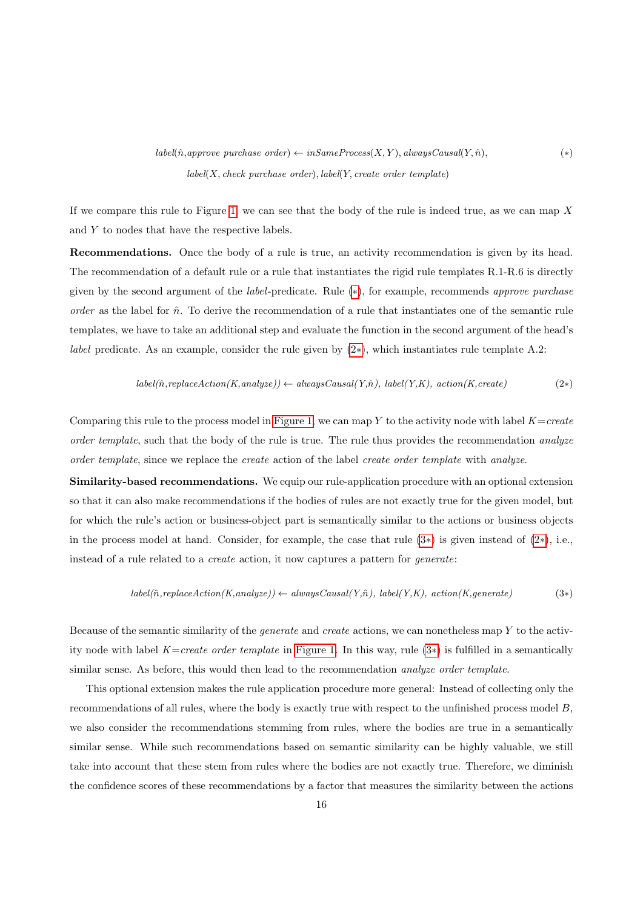$label(\hat{n},approve\ purchase\ order) \leftarrow inSameProcess(X, Y), always Causal(Y, \hat{n}),$  (\*)  $label(X, check purchase order), label(Y, create order template)$ 

If we compare this rule to Figure [1,](#page-2-1) we can see that the body of the rule is indeed true, as we can map  $X$ and Y to nodes that have the respective labels.

Recommendations. Once the body of a rule is true, an activity recommendation is given by its head. The recommendation of a default rule or a rule that instantiates the rigid rule templates R.1-R.6 is directly given by the second argument of the label-predicate. Rule ([∗](#page-14-0)), for example, recommends approve purchase order as the label for  $\hat{n}$ . To derive the recommendation of a rule that instantiates one of the semantic rule templates, we have to take an additional step and evaluate the function in the second argument of the head's *label* predicate. As an example, consider the rule given by  $(2*)$  $(2*)$ , which instantiates rule template A.2:

$$
label(\hat{n}, replaceAction(K, analyze)) \leftarrow alwaysCausal(Y, \hat{n}), label(Y, K), action(K, create)
$$
\n
$$
(2*)
$$

Comparing this rule to the process model in [Figure 1,](#page-2-1) we can map Y to the activity node with label  $K=create$ order template, such that the body of the rule is true. The rule thus provides the recommendation analyze order template, since we replace the create action of the label create order template with analyze.

Similarity-based recommendations. We equip our rule-application procedure with an optional extension so that it can also make recommendations if the bodies of rules are not exactly true for the given model, but for which the rule's action or business-object part is semantically similar to the actions or business objects in the process model at hand. Consider, for example, the case that rule  $(3*)$  $(3*)$  is given instead of  $(2*)$  $(2*)$ , i.e., instead of a rule related to a create action, it now captures a pattern for generate:

$$
label(\hat{n}, replaceAction(K, analyze)) \leftarrow alwaysCausal(Y, \hat{n}), label(Y, K), action(K, generate)
$$
\n(3\*)

Because of the semantic similarity of the *generate* and *create* actions, we can nonetheless map  $Y$  to the activ-ity node with label K=create order template in [Figure 1.](#page-2-1) In this way, rule  $(3*)$  $(3*)$  is fulfilled in a semantically similar sense. As before, this would then lead to the recommendation *analyze order template*.

This optional extension makes the rule application procedure more general: Instead of collecting only the recommendations of all rules, where the body is exactly true with respect to the unfinished process model B, we also consider the recommendations stemming from rules, where the bodies are true in a semantically similar sense. While such recommendations based on semantic similarity can be highly valuable, we still take into account that these stem from rules where the bodies are not exactly true. Therefore, we diminish the confidence scores of these recommendations by a factor that measures the similarity between the actions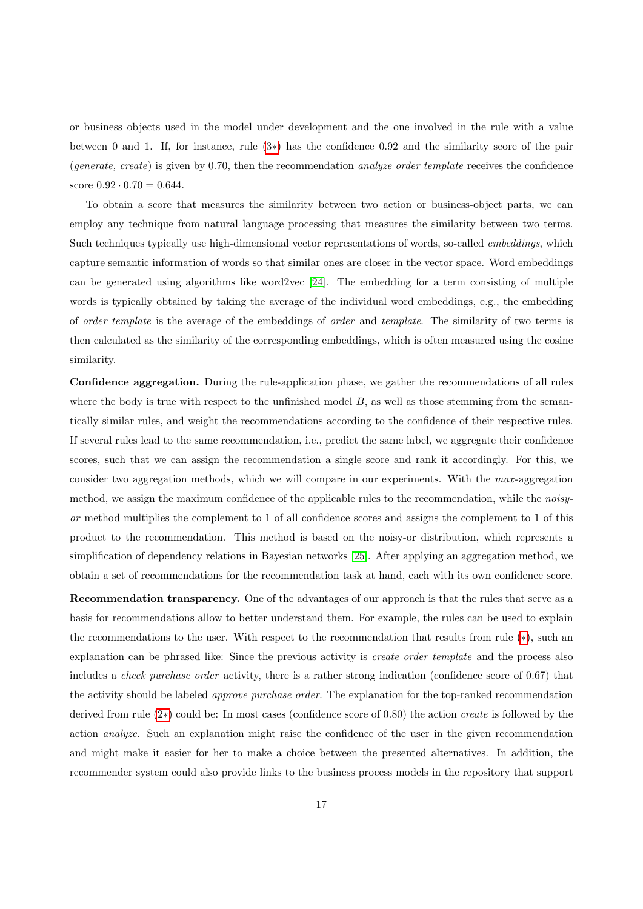or business objects used in the model under development and the one involved in the rule with a value between 0 and 1. If, for instance, rule [\(3](#page-14-0)∗) has the confidence 0.92 and the similarity score of the pair (generate, create) is given by 0.70, then the recommendation *analyze order template* receives the confidence score  $0.92 \cdot 0.70 = 0.644$ .

To obtain a score that measures the similarity between two action or business-object parts, we can employ any technique from natural language processing that measures the similarity between two terms. Such techniques typically use high-dimensional vector representations of words, so-called *embeddings*, which capture semantic information of words so that similar ones are closer in the vector space. Word embeddings can be generated using algorithms like word2vec [\[24\]](#page-34-11). The embedding for a term consisting of multiple words is typically obtained by taking the average of the individual word embeddings, e.g., the embedding of order template is the average of the embeddings of order and template. The similarity of two terms is then calculated as the similarity of the corresponding embeddings, which is often measured using the cosine similarity.

Confidence aggregation. During the rule-application phase, we gather the recommendations of all rules where the body is true with respect to the unfinished model  $B$ , as well as those stemming from the semantically similar rules, and weight the recommendations according to the confidence of their respective rules. If several rules lead to the same recommendation, i.e., predict the same label, we aggregate their confidence scores, such that we can assign the recommendation a single score and rank it accordingly. For this, we consider two aggregation methods, which we will compare in our experiments. With the max -aggregation method, we assign the maximum confidence of the applicable rules to the recommendation, while the *noisy*or method multiplies the complement to 1 of all confidence scores and assigns the complement to 1 of this product to the recommendation. This method is based on the noisy-or distribution, which represents a simplification of dependency relations in Bayesian networks [\[25\]](#page-34-12). After applying an aggregation method, we obtain a set of recommendations for the recommendation task at hand, each with its own confidence score.

Recommendation transparency. One of the advantages of our approach is that the rules that serve as a basis for recommendations allow to better understand them. For example, the rules can be used to explain the recommendations to the user. With respect to the recommendation that results from rule ([∗](#page-14-0)), such an explanation can be phrased like: Since the previous activity is create order template and the process also includes a check purchase order activity, there is a rather strong indication (confidence score of 0.67) that the activity should be labeled approve purchase order. The explanation for the top-ranked recommendation derived from rule [\(2](#page-14-0)∗) could be: In most cases (confidence score of 0.80) the action create is followed by the action analyze. Such an explanation might raise the confidence of the user in the given recommendation and might make it easier for her to make a choice between the presented alternatives. In addition, the recommender system could also provide links to the business process models in the repository that support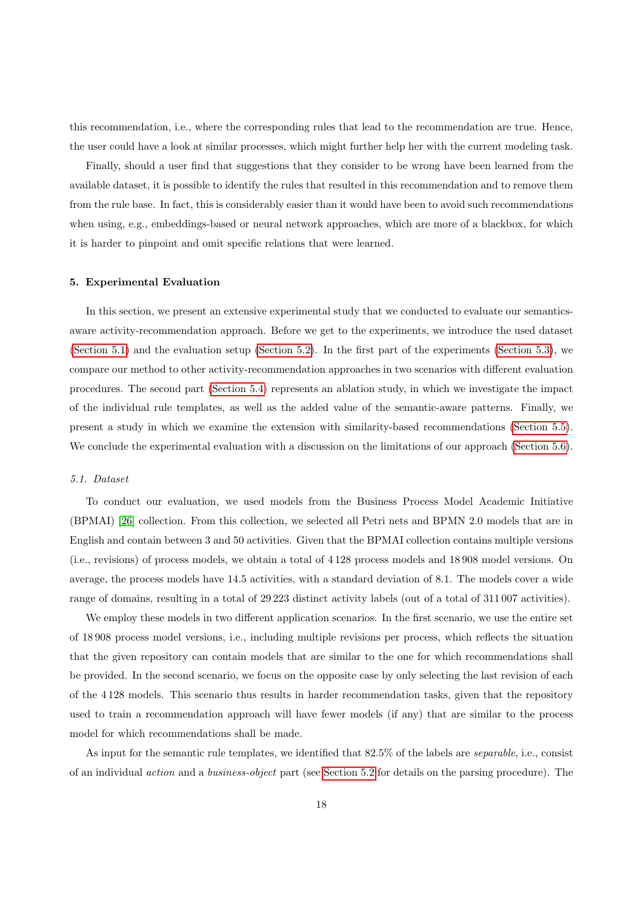this recommendation, i.e., where the corresponding rules that lead to the recommendation are true. Hence, the user could have a look at similar processes, which might further help her with the current modeling task.

Finally, should a user find that suggestions that they consider to be wrong have been learned from the available dataset, it is possible to identify the rules that resulted in this recommendation and to remove them from the rule base. In fact, this is considerably easier than it would have been to avoid such recommendations when using, e.g., embeddings-based or neural network approaches, which are more of a blackbox, for which it is harder to pinpoint and omit specific relations that were learned.

### <span id="page-17-0"></span>5. Experimental Evaluation

In this section, we present an extensive experimental study that we conducted to evaluate our semanticsaware activity-recommendation approach. Before we get to the experiments, we introduce the used dataset [\(Section 5.1\)](#page-17-1) and the evaluation setup [\(Section 5.2\)](#page-18-0). In the first part of the experiments [\(Section 5.3\)](#page-22-0), we compare our method to other activity-recommendation approaches in two scenarios with different evaluation procedures. The second part [\(Section 5.4\)](#page-26-0) represents an ablation study, in which we investigate the impact of the individual rule templates, as well as the added value of the semantic-aware patterns. Finally, we present a study in which we examine the extension with similarity-based recommendations [\(Section 5.5\)](#page-28-0). We conclude the experimental evaluation with a discussion on the limitations of our approach [\(Section 5.6\)](#page-30-1).

# <span id="page-17-1"></span>5.1. Dataset

To conduct our evaluation, we used models from the Business Process Model Academic Initiative (BPMAI) [\[26\]](#page-34-13) collection. From this collection, we selected all Petri nets and BPMN 2.0 models that are in English and contain between 3 and 50 activities. Given that the BPMAI collection contains multiple versions (i.e., revisions) of process models, we obtain a total of 4 128 process models and 18 908 model versions. On average, the process models have 14.5 activities, with a standard deviation of 8.1. The models cover a wide range of domains, resulting in a total of 29 223 distinct activity labels (out of a total of 311 007 activities).

We employ these models in two different application scenarios. In the first scenario, we use the entire set of 18 908 process model versions, i.e., including multiple revisions per process, which reflects the situation that the given repository can contain models that are similar to the one for which recommendations shall be provided. In the second scenario, we focus on the opposite case by only selecting the last revision of each of the 4 128 models. This scenario thus results in harder recommendation tasks, given that the repository used to train a recommendation approach will have fewer models (if any) that are similar to the process model for which recommendations shall be made.

As input for the semantic rule templates, we identified that 82.5% of the labels are separable, i.e., consist of an individual action and a business-object part (see [Section 5.2](#page-18-0) for details on the parsing procedure). The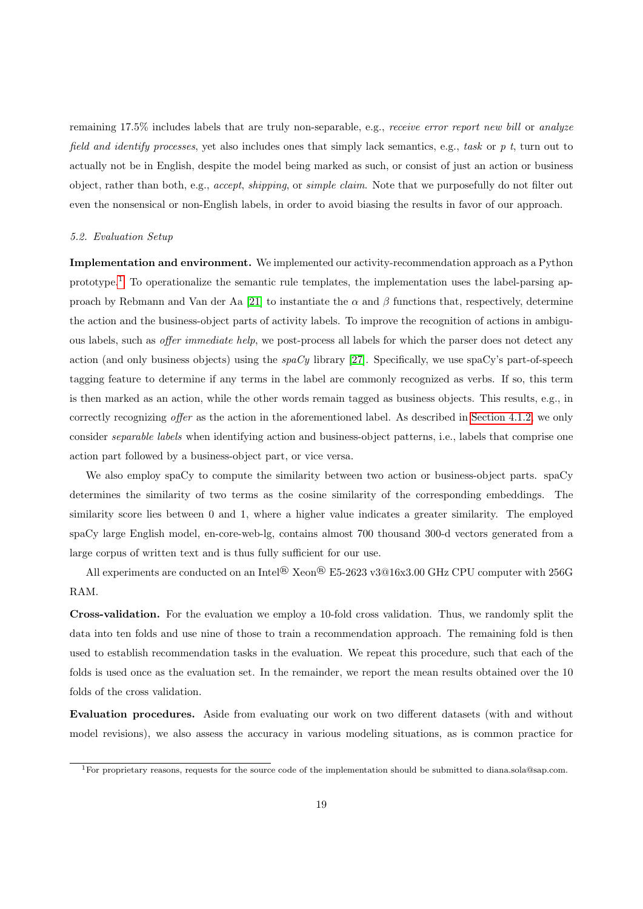remaining 17.5% includes labels that are truly non-separable, e.g., receive error report new bill or analyze field and identify processes, yet also includes ones that simply lack semantics, e.g., task or  $p$  t, turn out to actually not be in English, despite the model being marked as such, or consist of just an action or business object, rather than both, e.g., accept, shipping, or simple claim. Note that we purposefully do not filter out even the nonsensical or non-English labels, in order to avoid biasing the results in favor of our approach.

### <span id="page-18-0"></span>5.2. Evaluation Setup

Implementation and environment. We implemented our activity-recommendation approach as a Python prototype.<sup>[1](#page-18-1)</sup> To operationalize the semantic rule templates, the implementation uses the label-parsing ap-proach by Rebmann and Van der Aa [\[21\]](#page-34-8) to instantiate the  $\alpha$  and  $\beta$  functions that, respectively, determine the action and the business-object parts of activity labels. To improve the recognition of actions in ambiguous labels, such as offer immediate help, we post-process all labels for which the parser does not detect any action (and only business objects) using the  $spaCy$  library [\[27\]](#page-34-14). Specifically, we use spaCy's part-of-speech tagging feature to determine if any terms in the label are commonly recognized as verbs. If so, this term is then marked as an action, while the other words remain tagged as business objects. This results, e.g., in correctly recognizing offer as the action in the aforementioned label. As described in [Section 4.1.2,](#page-10-0) we only consider separable labels when identifying action and business-object patterns, i.e., labels that comprise one action part followed by a business-object part, or vice versa.

We also employ spaCy to compute the similarity between two action or business-object parts. spaCy determines the similarity of two terms as the cosine similarity of the corresponding embeddings. The similarity score lies between 0 and 1, where a higher value indicates a greater similarity. The employed spaCy large English model, en-core-web-lg, contains almost 700 thousand 300-d vectors generated from a large corpus of written text and is thus fully sufficient for our use.

All experiments are conducted on an Intel® Xeon® E5-2623 v3@16x3.00 GHz CPU computer with 256G RAM.

Cross-validation. For the evaluation we employ a 10-fold cross validation. Thus, we randomly split the data into ten folds and use nine of those to train a recommendation approach. The remaining fold is then used to establish recommendation tasks in the evaluation. We repeat this procedure, such that each of the folds is used once as the evaluation set. In the remainder, we report the mean results obtained over the 10 folds of the cross validation.

Evaluation procedures. Aside from evaluating our work on two different datasets (with and without model revisions), we also assess the accuracy in various modeling situations, as is common practice for

<span id="page-18-1"></span><sup>&</sup>lt;sup>1</sup>For proprietary reasons, requests for the source code of the implementation should be submitted to diana.sola@sap.com.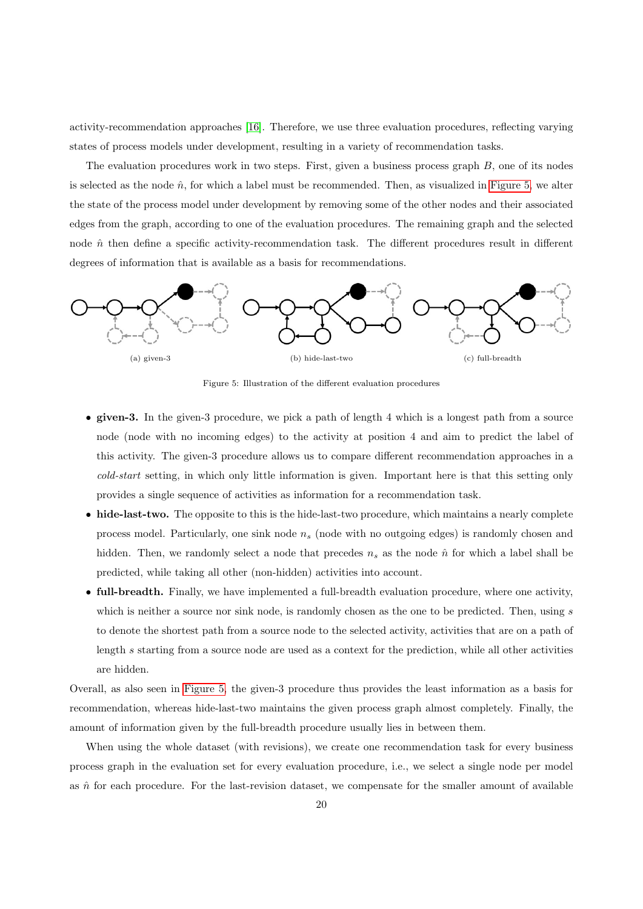activity-recommendation approaches [\[16\]](#page-34-3). Therefore, we use three evaluation procedures, reflecting varying states of process models under development, resulting in a variety of recommendation tasks.

The evaluation procedures work in two steps. First, given a business process graph  $B$ , one of its nodes is selected as the node  $\hat{n}$ , for which a label must be recommended. Then, as visualized in [Figure 5,](#page-19-0) we alter the state of the process model under development by removing some of the other nodes and their associated edges from the graph, according to one of the evaluation procedures. The remaining graph and the selected node  $\hat{n}$  then define a specific activity-recommendation task. The different procedures result in different degrees of information that is available as a basis for recommendations.

<span id="page-19-0"></span>

Figure 5: Illustration of the different evaluation procedures

- given-3. In the given-3 procedure, we pick a path of length 4 which is a longest path from a source node (node with no incoming edges) to the activity at position 4 and aim to predict the label of this activity. The given-3 procedure allows us to compare different recommendation approaches in a cold-start setting, in which only little information is given. Important here is that this setting only provides a single sequence of activities as information for a recommendation task.
- hide-last-two. The opposite to this is the hide-last-two procedure, which maintains a nearly complete process model. Particularly, one sink node  $n_s$  (node with no outgoing edges) is randomly chosen and hidden. Then, we randomly select a node that precedes  $n_s$  as the node  $\hat{n}$  for which a label shall be predicted, while taking all other (non-hidden) activities into account.
- full-breadth. Finally, we have implemented a full-breadth evaluation procedure, where one activity, which is neither a source nor sink node, is randomly chosen as the one to be predicted. Then, using  $s$ to denote the shortest path from a source node to the selected activity, activities that are on a path of length s starting from a source node are used as a context for the prediction, while all other activities are hidden.

Overall, as also seen in [Figure 5,](#page-19-0) the given-3 procedure thus provides the least information as a basis for recommendation, whereas hide-last-two maintains the given process graph almost completely. Finally, the amount of information given by the full-breadth procedure usually lies in between them.

When using the whole dataset (with revisions), we create one recommendation task for every business process graph in the evaluation set for every evaluation procedure, i.e., we select a single node per model as  $\hat{n}$  for each procedure. For the last-revision dataset, we compensate for the smaller amount of available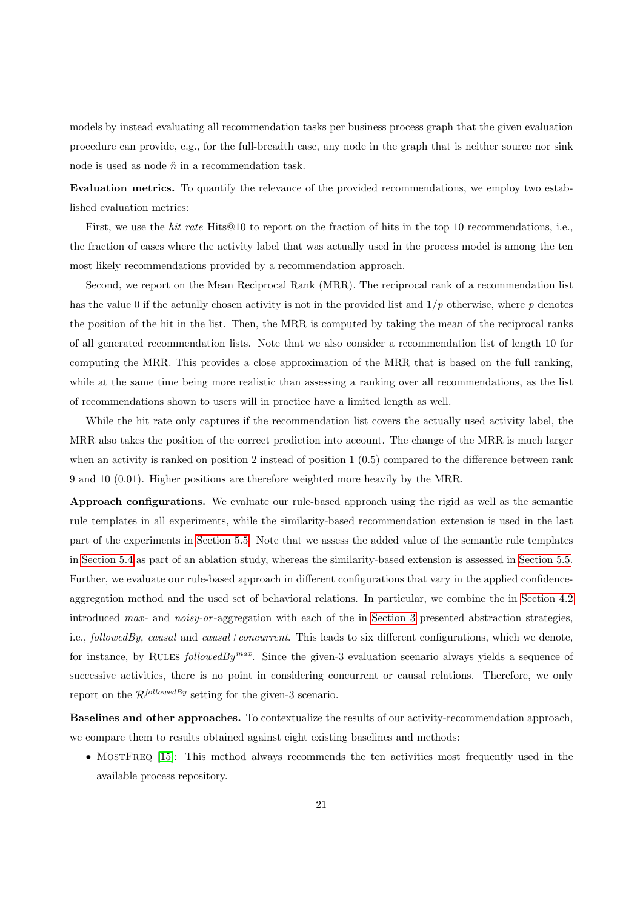models by instead evaluating all recommendation tasks per business process graph that the given evaluation procedure can provide, e.g., for the full-breadth case, any node in the graph that is neither source nor sink node is used as node  $\hat{n}$  in a recommendation task.

Evaluation metrics. To quantify the relevance of the provided recommendations, we employ two established evaluation metrics:

First, we use the *hit rate* Hits@10 to report on the fraction of hits in the top 10 recommendations, i.e., the fraction of cases where the activity label that was actually used in the process model is among the ten most likely recommendations provided by a recommendation approach.

Second, we report on the Mean Reciprocal Rank (MRR). The reciprocal rank of a recommendation list has the value 0 if the actually chosen activity is not in the provided list and  $1/p$  otherwise, where p denotes the position of the hit in the list. Then, the MRR is computed by taking the mean of the reciprocal ranks of all generated recommendation lists. Note that we also consider a recommendation list of length 10 for computing the MRR. This provides a close approximation of the MRR that is based on the full ranking, while at the same time being more realistic than assessing a ranking over all recommendations, as the list of recommendations shown to users will in practice have a limited length as well.

While the hit rate only captures if the recommendation list covers the actually used activity label, the MRR also takes the position of the correct prediction into account. The change of the MRR is much larger when an activity is ranked on position 2 instead of position 1 (0.5) compared to the difference between rank 9 and 10 (0.01). Higher positions are therefore weighted more heavily by the MRR.

Approach configurations. We evaluate our rule-based approach using the rigid as well as the semantic rule templates in all experiments, while the similarity-based recommendation extension is used in the last part of the experiments in [Section 5.5.](#page-28-0) Note that we assess the added value of the semantic rule templates in [Section 5.4](#page-26-0) as part of an ablation study, whereas the similarity-based extension is assessed in [Section 5.5.](#page-28-0) Further, we evaluate our rule-based approach in different configurations that vary in the applied confidenceaggregation method and the used set of behavioral relations. In particular, we combine the in [Section 4.2](#page-14-0) introduced max- and noisy-or-aggregation with each of the in [Section 3](#page-4-0) presented abstraction strategies, i.e., followedBy, causal and causal+concurrent. This leads to six different configurations, which we denote, for instance, by RULES followedBy<sup>max</sup>. Since the given-3 evaluation scenario always yields a sequence of successive activities, there is no point in considering concurrent or causal relations. Therefore, we only report on the  $\mathcal{R}^{followedBy}$  setting for the given-3 scenario.

Baselines and other approaches. To contextualize the results of our activity-recommendation approach, we compare them to results obtained against eight existing baselines and methods:

• MOSTFREQ [\[15\]](#page-34-2): This method always recommends the ten activities most frequently used in the available process repository.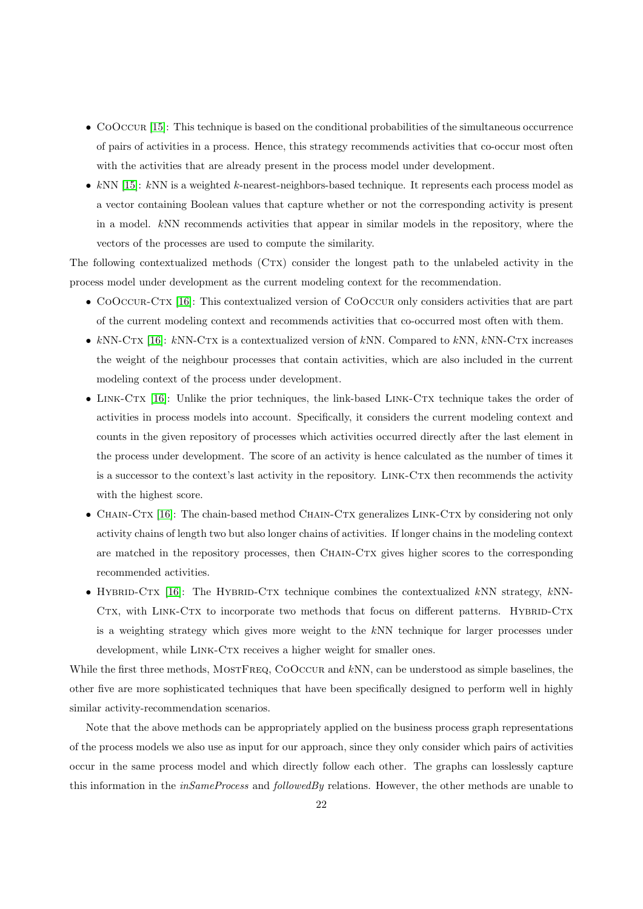- COOCCUR [\[15\]](#page-34-2): This technique is based on the conditional probabilities of the simultaneous occurrence of pairs of activities in a process. Hence, this strategy recommends activities that co-occur most often with the activities that are already present in the process model under development.
- kNN  $[15]$ : kNN is a weighted k-nearest-neighbors-based technique. It represents each process model as a vector containing Boolean values that capture whether or not the corresponding activity is present in a model. kNN recommends activities that appear in similar models in the repository, where the vectors of the processes are used to compute the similarity.

The following contextualized methods (CTX) consider the longest path to the unlabeled activity in the process model under development as the current modeling context for the recommendation.

- COOCCUR-CTX [\[16\]](#page-34-3): This contextualized version of COOCCUR only considers activities that are part of the current modeling context and recommends activities that co-occurred most often with them.
- kNN-CTX [\[16\]](#page-34-3): kNN-CTX is a contextualized version of kNN. Compared to kNN, kNN-CTX increases the weight of the neighbour processes that contain activities, which are also included in the current modeling context of the process under development.
- LINK-CTX [\[16\]](#page-34-3): Unlike the prior techniques, the link-based LINK-CTX technique takes the order of activities in process models into account. Specifically, it considers the current modeling context and counts in the given repository of processes which activities occurred directly after the last element in the process under development. The score of an activity is hence calculated as the number of times it is a successor to the context's last activity in the repository. LINK-CTX then recommends the activity with the highest score.
- CHAIN-CTX [\[16\]](#page-34-3): The chain-based method CHAIN-CTX generalizes LINK-CTX by considering not only activity chains of length two but also longer chains of activities. If longer chains in the modeling context are matched in the repository processes, then CHAIN-CTX gives higher scores to the corresponding recommended activities.
- HYBRID-CTX [\[16\]](#page-34-3): The HYBRID-CTX technique combines the contextualized  $kNN$  strategy,  $kNN$ -CTX, with LINK-CTX to incorporate two methods that focus on different patterns. HYBRID-CTX is a weighting strategy which gives more weight to the kNN technique for larger processes under development, while LINK-CTX receives a higher weight for smaller ones.

While the first three methods, MOSTFREQ, COOCCUR and kNN, can be understood as simple baselines, the other five are more sophisticated techniques that have been specifically designed to perform well in highly similar activity-recommendation scenarios.

Note that the above methods can be appropriately applied on the business process graph representations of the process models we also use as input for our approach, since they only consider which pairs of activities occur in the same process model and which directly follow each other. The graphs can losslessly capture this information in the *inSameProcess* and *followedBy* relations. However, the other methods are unable to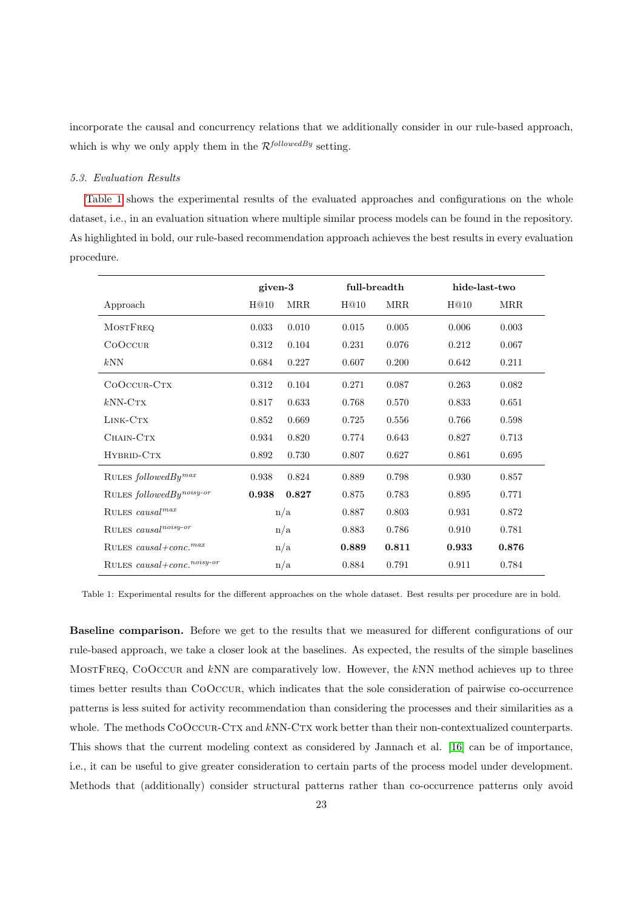incorporate the causal and concurrency relations that we additionally consider in our rule-based approach, which is why we only apply them in the  $\mathcal{R}^{followedBy}$  setting.

### <span id="page-22-0"></span>5.3. Evaluation Results

[Table 1](#page-22-1) shows the experimental results of the evaluated approaches and configurations on the whole dataset, i.e., in an evaluation situation where multiple similar process models can be found in the repository. As highlighted in bold, our rule-based recommendation approach achieves the best results in every evaluation procedure.

<span id="page-22-1"></span>

|                                        | given-3 |            | full-breadth |            | hide-last-two |            |
|----------------------------------------|---------|------------|--------------|------------|---------------|------------|
| Approach                               | H@10    | <b>MRR</b> | H@10         | <b>MRR</b> | H@10          | <b>MRR</b> |
| <b>MOSTFREQ</b>                        | 0.033   | 0.010      | 0.015        | 0.005      | 0.006         | 0.003      |
| COOCCUR                                | 0.312   | 0.104      | 0.231        | 0.076      | 0.212         | 0.067      |
| kNN                                    | 0.684   | 0.227      | 0.607        | 0.200      | 0.642         | 0.211      |
| COOCCUR-CTX                            | 0.312   | 0.104      | 0.271        | 0.087      | 0.263         | 0.082      |
| $kNN-CTX$                              | 0.817   | 0.633      | 0.768        | 0.570      | 0.833         | 0.651      |
| LINK-CTX                               | 0.852   | 0.669      | 0.725        | 0.556      | 0.766         | 0.598      |
| CHAIN-CTX                              | 0.934   | 0.820      | 0.774        | 0.643      | 0.827         | 0.713      |
| HYBRID-CTX                             | 0.892   | 0.730      | 0.807        | 0.627      | 0.861         | 0.695      |
| RULES $followed By^{max}$              | 0.938   | 0.824      | 0.889        | 0.798      | 0.930         | 0.857      |
| RULES $followed By noisy-or$           | 0.938   | 0.827      | 0.875        | 0.783      | 0.895         | 0.771      |
| RULES causal <sup>max</sup>            | n/a     |            | 0.887        | 0.803      | 0.931         | 0.872      |
| RULES $causalnoisy-or$                 | n/a     |            | 0.883        | 0.786      | 0.910         | 0.781      |
| RULES causal+conc. <sup>max</sup>      | n/a     |            | 0.889        | 0.811      | 0.933         | 0.876      |
| RULES causal+conc. <sup>noisy-or</sup> | n/a     |            | 0.884        | 0.791      | 0.911         | 0.784      |

Table 1: Experimental results for the different approaches on the whole dataset. Best results per procedure are in bold.

Baseline comparison. Before we get to the results that we measured for different configurations of our rule-based approach, we take a closer look at the baselines. As expected, the results of the simple baselines MOSTFREQ, COOCCUR and kNN are comparatively low. However, the kNN method achieves up to three times better results than CoOccur, which indicates that the sole consideration of pairwise co-occurrence patterns is less suited for activity recommendation than considering the processes and their similarities as a whole. The methods COOCCUR-CTX and kNN-CTX work better than their non-contextualized counterparts. This shows that the current modeling context as considered by Jannach et al. [\[16\]](#page-34-3) can be of importance, i.e., it can be useful to give greater consideration to certain parts of the process model under development. Methods that (additionally) consider structural patterns rather than co-occurrence patterns only avoid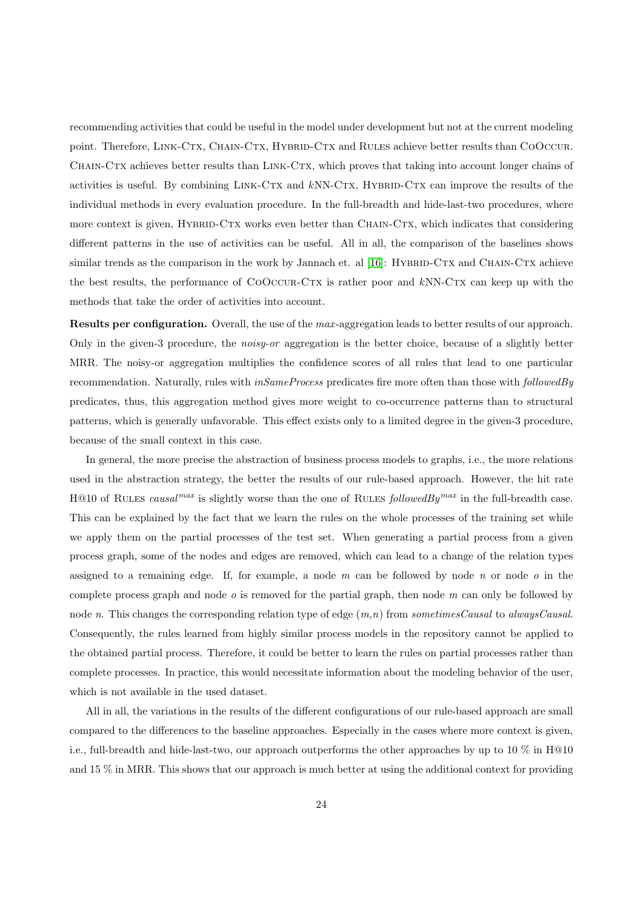recommending activities that could be useful in the model under development but not at the current modeling point. Therefore, LINK-CTX, CHAIN-CTX, HYBRID-CTX and RULES achieve better results than COOCCUR. CHAIN-CTX achieves better results than LINK-CTX, which proves that taking into account longer chains of activities is useful. By combining  $LINK-CTX$  and  $kNN-CTX$ , HYBRID-CTX can improve the results of the individual methods in every evaluation procedure. In the full-breadth and hide-last-two procedures, where more context is given, HYBRID-CTX works even better than CHAIN-CTX, which indicates that considering different patterns in the use of activities can be useful. All in all, the comparison of the baselines shows similar trends as the comparison in the work by Jannach et. al  $[16]$ : HYBRID-CTX and CHAIN-CTX achieve the best results, the performance of  $COOCUR-CTX$  is rather poor and  $kNN-CTX$  can keep up with the methods that take the order of activities into account.

Results per configuration. Overall, the use of the max-aggregation leads to better results of our approach. Only in the given-3 procedure, the noisy-or aggregation is the better choice, because of a slightly better MRR. The noisy-or aggregation multiplies the confidence scores of all rules that lead to one particular recommendation. Naturally, rules with  $inSameProcess$  predicates fire more often than those with followedBy predicates, thus, this aggregation method gives more weight to co-occurrence patterns than to structural patterns, which is generally unfavorable. This effect exists only to a limited degree in the given-3 procedure, because of the small context in this case.

In general, the more precise the abstraction of business process models to graphs, i.e., the more relations used in the abstraction strategy, the better the results of our rule-based approach. However, the hit rate H@10 of RULES causal<sup>max</sup> is slightly worse than the one of RULES followedBy<sup>max</sup> in the full-breadth case. This can be explained by the fact that we learn the rules on the whole processes of the training set while we apply them on the partial processes of the test set. When generating a partial process from a given process graph, some of the nodes and edges are removed, which can lead to a change of the relation types assigned to a remaining edge. If, for example, a node  $m$  can be followed by node  $n$  or node  $o$  in the complete process graph and node  $o$  is removed for the partial graph, then node  $m$  can only be followed by node n. This changes the corresponding relation type of edge  $(m,n)$  from sometimesCausal to alwaysCausal. Consequently, the rules learned from highly similar process models in the repository cannot be applied to the obtained partial process. Therefore, it could be better to learn the rules on partial processes rather than complete processes. In practice, this would necessitate information about the modeling behavior of the user, which is not available in the used dataset.

All in all, the variations in the results of the different configurations of our rule-based approach are small compared to the differences to the baseline approaches. Especially in the cases where more context is given, i.e., full-breadth and hide-last-two, our approach outperforms the other approaches by up to 10 % in H@10 and 15 % in MRR. This shows that our approach is much better at using the additional context for providing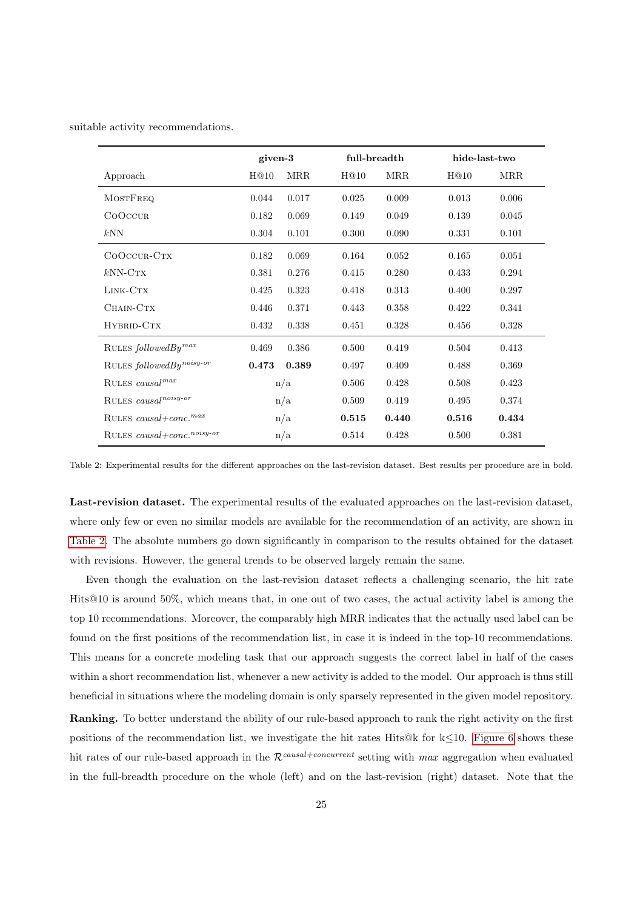<span id="page-24-0"></span>suitable activity recommendations.

|                                        | given-3 |            | full-breadth |            | hide-last-two |            |
|----------------------------------------|---------|------------|--------------|------------|---------------|------------|
| Approach                               | H@10    | <b>MRR</b> | H@10         | <b>MRR</b> | H@10          | <b>MRR</b> |
| <b>MOSTFREQ</b>                        | 0.044   | 0.017      | 0.025        | 0.009      | 0.013         | 0.006      |
| COOCCUR                                | 0.182   | 0.069      | 0.149        | 0.049      | 0.139         | 0.045      |
| kNN                                    | 0.304   | 0.101      | 0.300        | 0.090      | 0.331         | 0.101      |
| COOCCUR-CTX                            | 0.182   | 0.069      | 0.164        | 0.052      | 0.165         | 0.051      |
| $kNN-CTX$                              | 0.381   | 0.276      | 0.415        | 0.280      | 0.433         | 0.294      |
| LINK-CTX                               | 0.425   | 0.323      | 0.418        | 0.313      | 0.400         | 0.297      |
| CHAIN-CTX                              | 0.446   | 0.371      | 0.443        | 0.358      | 0.422         | 0.341      |
| HYBRID-CTX                             | 0.432   | 0.338      | 0.451        | 0.328      | 0.456         | 0.328      |
| RULES $followed By^{max}$              | 0.469   | 0.386      | 0.500        | 0.419      | 0.504         | 0.413      |
| RULES $followed By noisy-or$           | 0.473   | 0.389      | 0.497        | 0.409      | 0.488         | 0.369      |
| RULES $causal^{max}$                   | n/a     |            | 0.506        | 0.428      | 0.508         | 0.423      |
| RULES causal <sup>noisy-or</sup>       |         | n/a        |              | 0.419      | 0.495         | 0.374      |
| RULES causal+conc. <sup>max</sup>      | n/a     |            | 0.515        | 0.440      | 0.516         | 0.434      |
| RULES causal+conc. <sup>noisy-or</sup> | n/a     |            | 0.514        | 0.428      | 0.500         | 0.381      |

Table 2: Experimental results for the different approaches on the last-revision dataset. Best results per procedure are in bold.

Last-revision dataset. The experimental results of the evaluated approaches on the last-revision dataset, where only few or even no similar models are available for the recommendation of an activity, are shown in [Table 2.](#page-24-0) The absolute numbers go down significantly in comparison to the results obtained for the dataset with revisions. However, the general trends to be observed largely remain the same.

Even though the evaluation on the last-revision dataset reflects a challenging scenario, the hit rate Hits@10 is around 50%, which means that, in one out of two cases, the actual activity label is among the top 10 recommendations. Moreover, the comparably high MRR indicates that the actually used label can be found on the first positions of the recommendation list, in case it is indeed in the top-10 recommendations. This means for a concrete modeling task that our approach suggests the correct label in half of the cases within a short recommendation list, whenever a new activity is added to the model. Our approach is thus still beneficial in situations where the modeling domain is only sparsely represented in the given model repository.

Ranking. To better understand the ability of our rule-based approach to rank the right activity on the first positions of the recommendation list, we investigate the hit rates Hits@k for  $k \leq 10$ . [Figure 6](#page-25-0) shows these hit rates of our rule-based approach in the  $\mathcal{R}^{causal+concurrent}$  setting with max aggregation when evaluated in the full-breadth procedure on the whole (left) and on the last-revision (right) dataset. Note that the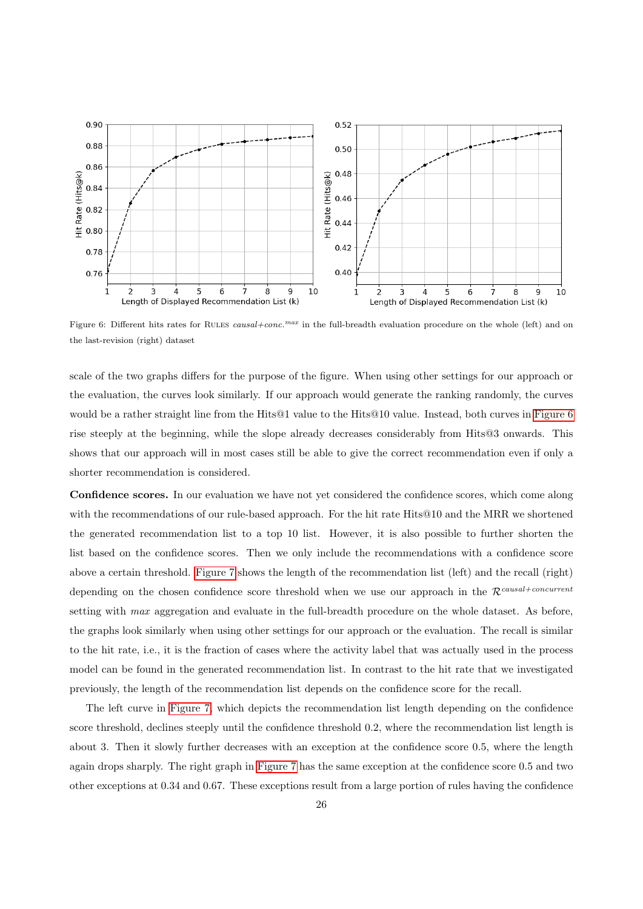<span id="page-25-0"></span>

Figure 6: Different hits rates for RULES causal+conc.<sup>max</sup> in the full-breadth evaluation procedure on the whole (left) and on the last-revision (right) dataset

scale of the two graphs differs for the purpose of the figure. When using other settings for our approach or the evaluation, the curves look similarly. If our approach would generate the ranking randomly, the curves would be a rather straight line from the Hits@1 value to the Hits@10 value. Instead, both curves in [Figure 6](#page-25-0) rise steeply at the beginning, while the slope already decreases considerably from Hits@3 onwards. This shows that our approach will in most cases still be able to give the correct recommendation even if only a shorter recommendation is considered.

Confidence scores. In our evaluation we have not yet considered the confidence scores, which come along with the recommendations of our rule-based approach. For the hit rate Hits@10 and the MRR we shortened the generated recommendation list to a top 10 list. However, it is also possible to further shorten the list based on the confidence scores. Then we only include the recommendations with a confidence score above a certain threshold. [Figure 7](#page-26-1) shows the length of the recommendation list (left) and the recall (right) depending on the chosen confidence score threshold when we use our approach in the  $\mathcal{R}^{causal+concurrent}$ setting with *max* aggregation and evaluate in the full-breadth procedure on the whole dataset. As before, the graphs look similarly when using other settings for our approach or the evaluation. The recall is similar to the hit rate, i.e., it is the fraction of cases where the activity label that was actually used in the process model can be found in the generated recommendation list. In contrast to the hit rate that we investigated previously, the length of the recommendation list depends on the confidence score for the recall.

The left curve in [Figure 7,](#page-26-1) which depicts the recommendation list length depending on the confidence score threshold, declines steeply until the confidence threshold 0.2, where the recommendation list length is about 3. Then it slowly further decreases with an exception at the confidence score 0.5, where the length again drops sharply. The right graph in [Figure 7](#page-26-1) has the same exception at the confidence score 0.5 and two other exceptions at 0.34 and 0.67. These exceptions result from a large portion of rules having the confidence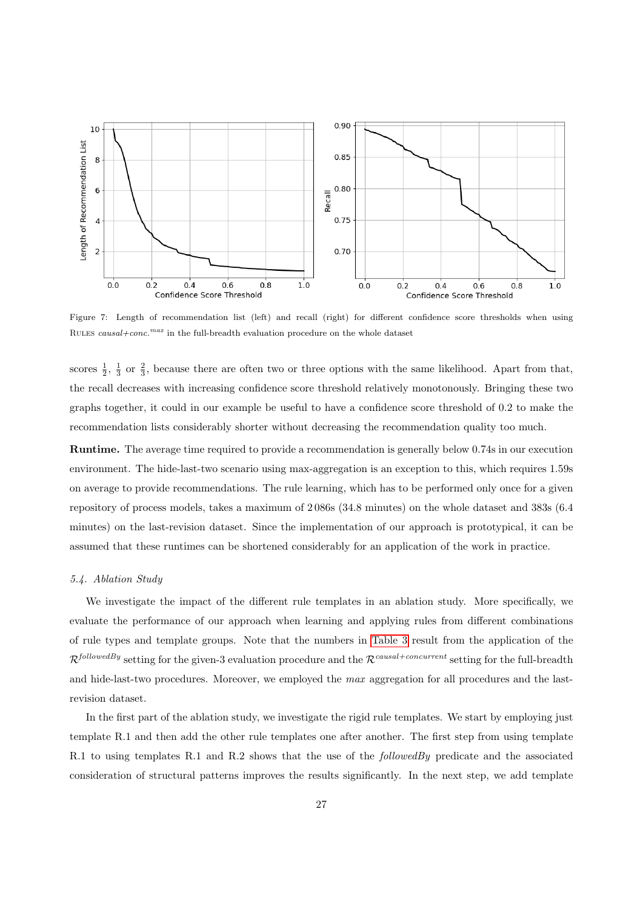<span id="page-26-1"></span>

Figure 7: Length of recommendation list (left) and recall (right) for different confidence score thresholds when using RULES  $causal+conc.^{max}$  in the full-breadth evaluation procedure on the whole dataset

scores  $\frac{1}{2}$ ,  $\frac{1}{3}$  or  $\frac{2}{3}$ , because there are often two or three options with the same likelihood. Apart from that, the recall decreases with increasing confidence score threshold relatively monotonously. Bringing these two graphs together, it could in our example be useful to have a confidence score threshold of 0.2 to make the recommendation lists considerably shorter without decreasing the recommendation quality too much.

Runtime. The average time required to provide a recommendation is generally below 0.74s in our execution environment. The hide-last-two scenario using max-aggregation is an exception to this, which requires 1.59s on average to provide recommendations. The rule learning, which has to be performed only once for a given repository of process models, takes a maximum of 2 086s (34.8 minutes) on the whole dataset and 383s (6.4 minutes) on the last-revision dataset. Since the implementation of our approach is prototypical, it can be assumed that these runtimes can be shortened considerably for an application of the work in practice.

### <span id="page-26-0"></span>5.4. Ablation Study

We investigate the impact of the different rule templates in an ablation study. More specifically, we evaluate the performance of our approach when learning and applying rules from different combinations of rule types and template groups. Note that the numbers in [Table 3](#page-27-0) result from the application of the  $\mathcal{R}^{followedBy}$  setting for the given-3 evaluation procedure and the  $\mathcal{R}^{causal-concurrent}$  setting for the full-breadth and hide-last-two procedures. Moreover, we employed the max aggregation for all procedures and the lastrevision dataset.

In the first part of the ablation study, we investigate the rigid rule templates. We start by employing just template R.1 and then add the other rule templates one after another. The first step from using template R.1 to using templates R.1 and R.2 shows that the use of the *followedBy* predicate and the associated consideration of structural patterns improves the results significantly. In the next step, we add template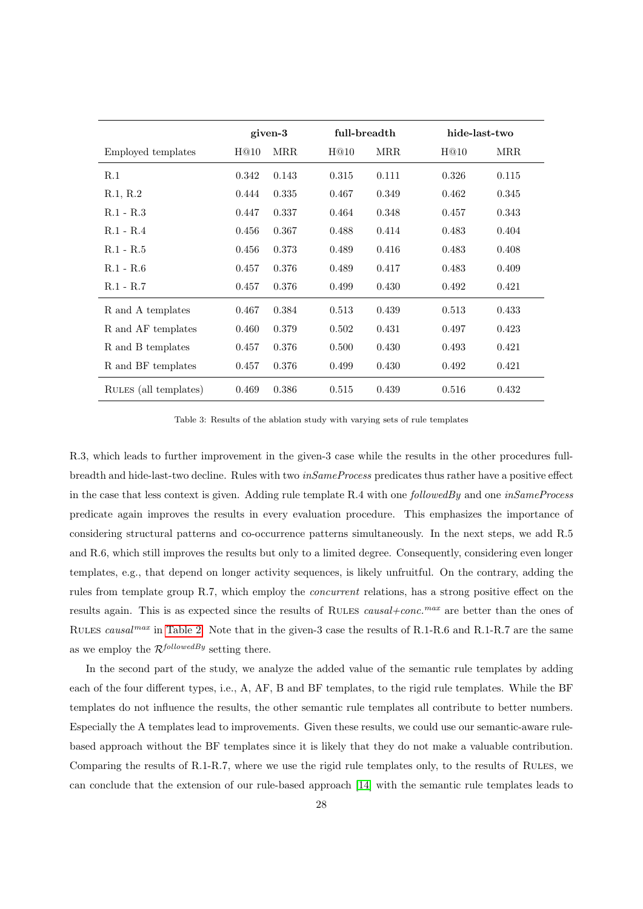<span id="page-27-0"></span>

|                       | given-3 |            | full-breadth |            | hide-last-two |            |
|-----------------------|---------|------------|--------------|------------|---------------|------------|
| Employed templates    | H@10    | <b>MRR</b> | H@10         | <b>MRR</b> | H@10          | <b>MRR</b> |
| R.1                   | 0.342   | 0.143      | 0.315        | 0.111      | 0.326         | 0.115      |
| R.1, R.2              | 0.444   | 0.335      | 0.467        | 0.349      | 0.462         | 0.345      |
| $R.1 - R.3$           | 0.447   | 0.337      | 0.464        | 0.348      | 0.457         | 0.343      |
| $R.1 - R.4$           | 0.456   | 0.367      | 0.488        | 0.414      | 0.483         | 0.404      |
| $R.1 - R.5$           | 0.456   | 0.373      | 0.489        | 0.416      | 0.483         | 0.408      |
| $R.1 - R.6$           | 0.457   | 0.376      | 0.489        | 0.417      | 0.483         | 0.409      |
| $R.1 - R.7$           | 0.457   | 0.376      | 0.499        | 0.430      | 0.492         | 0.421      |
| R and A templates     | 0.467   | 0.384      | 0.513        | 0.439      | 0.513         | 0.433      |
| R and AF templates    | 0.460   | 0.379      | 0.502        | 0.431      | 0.497         | 0.423      |
| R and B templates     | 0.457   | 0.376      | 0.500        | 0.430      | 0.493         | 0.421      |
| R and BF templates    | 0.457   | 0.376      | 0.499        | 0.430      | 0.492         | 0.421      |
| RULES (all templates) | 0.469   | 0.386      | 0.515        | 0.439      | 0.516         | 0.432      |

Table 3: Results of the ablation study with varying sets of rule templates

R.3, which leads to further improvement in the given-3 case while the results in the other procedures fullbreadth and hide-last-two decline. Rules with two *inSameProcess* predicates thus rather have a positive effect in the case that less context is given. Adding rule template R.4 with one  $followed By$  and one  $inSameProcess$ predicate again improves the results in every evaluation procedure. This emphasizes the importance of considering structural patterns and co-occurrence patterns simultaneously. In the next steps, we add R.5 and R.6, which still improves the results but only to a limited degree. Consequently, considering even longer templates, e.g., that depend on longer activity sequences, is likely unfruitful. On the contrary, adding the rules from template group R.7, which employ the concurrent relations, has a strong positive effect on the results again. This is as expected since the results of RULES causal+conc.<sup>max</sup> are better than the ones of RULES causal<sup>max</sup> in [Table 2.](#page-24-0) Note that in the given-3 case the results of R.1-R.6 and R.1-R.7 are the same as we employ the  $\mathcal{R}^{followedBy}$  setting there.

In the second part of the study, we analyze the added value of the semantic rule templates by adding each of the four different types, i.e., A, AF, B and BF templates, to the rigid rule templates. While the BF templates do not influence the results, the other semantic rule templates all contribute to better numbers. Especially the A templates lead to improvements. Given these results, we could use our semantic-aware rulebased approach without the BF templates since it is likely that they do not make a valuable contribution. Comparing the results of R.1-R.7, where we use the rigid rule templates only, to the results of Rules, we can conclude that the extension of our rule-based approach [\[14\]](#page-34-1) with the semantic rule templates leads to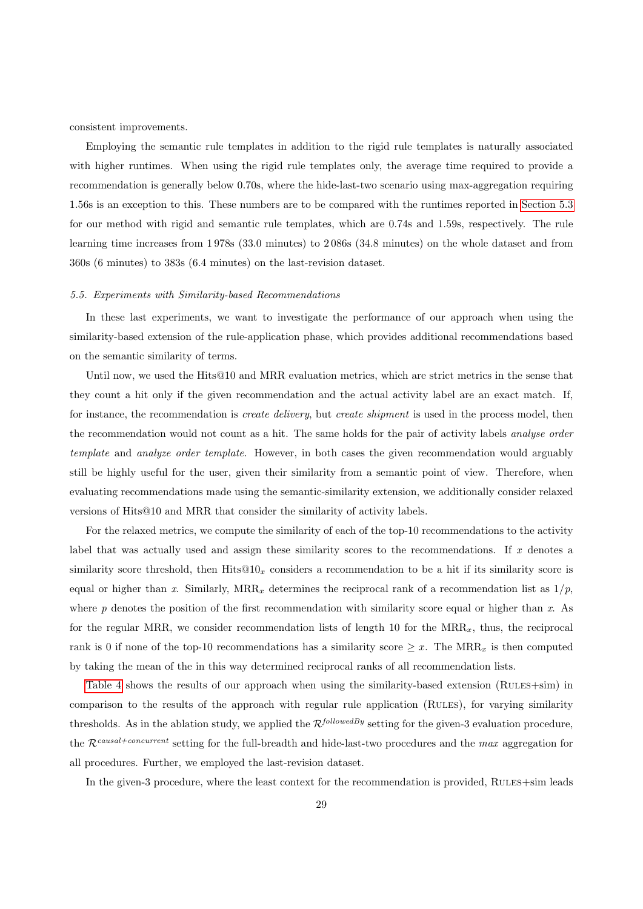consistent improvements.

Employing the semantic rule templates in addition to the rigid rule templates is naturally associated with higher runtimes. When using the rigid rule templates only, the average time required to provide a recommendation is generally below 0.70s, where the hide-last-two scenario using max-aggregation requiring 1.56s is an exception to this. These numbers are to be compared with the runtimes reported in [Section 5.3](#page-22-0) for our method with rigid and semantic rule templates, which are 0.74s and 1.59s, respectively. The rule learning time increases from 1 978s (33.0 minutes) to 2 086s (34.8 minutes) on the whole dataset and from 360s (6 minutes) to 383s (6.4 minutes) on the last-revision dataset.

#### <span id="page-28-0"></span>5.5. Experiments with Similarity-based Recommendations

In these last experiments, we want to investigate the performance of our approach when using the similarity-based extension of the rule-application phase, which provides additional recommendations based on the semantic similarity of terms.

Until now, we used the Hits@10 and MRR evaluation metrics, which are strict metrics in the sense that they count a hit only if the given recommendation and the actual activity label are an exact match. If, for instance, the recommendation is *create delivery*, but *create shipment* is used in the process model, then the recommendation would not count as a hit. The same holds for the pair of activity labels *analyse order* template and analyze order template. However, in both cases the given recommendation would arguably still be highly useful for the user, given their similarity from a semantic point of view. Therefore, when evaluating recommendations made using the semantic-similarity extension, we additionally consider relaxed versions of Hits@10 and MRR that consider the similarity of activity labels.

For the relaxed metrics, we compute the similarity of each of the top-10 recommendations to the activity label that was actually used and assign these similarity scores to the recommendations. If  $x$  denotes a similarity score threshold, then  $Hits@10<sub>x</sub>$  considers a recommendation to be a hit if its similarity score is equal or higher than x. Similarly,  $MRR_x$  determines the reciprocal rank of a recommendation list as  $1/p$ , where  $p$  denotes the position of the first recommendation with similarity score equal or higher than  $x$ . As for the regular MRR, we consider recommendation lists of length 10 for the  $MRR_x$ , thus, the reciprocal rank is 0 if none of the top-10 recommendations has a similarity score  $\geq x$ . The MRR<sub>x</sub> is then computed by taking the mean of the in this way determined reciprocal ranks of all recommendation lists.

[Table 4](#page-29-0) shows the results of our approach when using the similarity-based extension (RULES+sim) in comparison to the results of the approach with regular rule application (Rules), for varying similarity thresholds. As in the ablation study, we applied the  $\mathcal{R}^{followedBy}$  setting for the given-3 evaluation procedure, the  $\mathcal{R}^{causal+concurrent}$  setting for the full-breadth and hide-last-two procedures and the max aggregation for all procedures. Further, we employed the last-revision dataset.

In the given-3 procedure, where the least context for the recommendation is provided, RULES+sim leads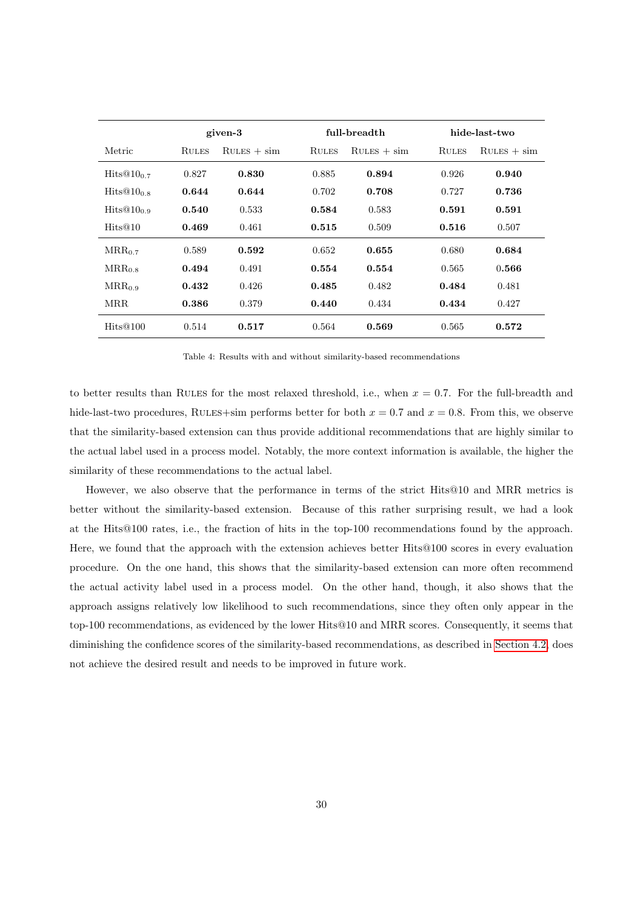<span id="page-29-0"></span>

|                        | given-3      |               |              | full-breadth  | hide-last-two |               |  |
|------------------------|--------------|---------------|--------------|---------------|---------------|---------------|--|
| Metric                 | <b>RULES</b> | $RULES + sim$ | <b>RULES</b> | $RULES + sim$ | <b>RULES</b>  | $RULES + sim$ |  |
| Hits $@10_07$          | 0.827        | 0.830         | 0.885        | 0.894         | 0.926         | 0.940         |  |
| $Hits@10_0s$           | 0.644        | 0.644         | 0.702        | 0.708         | 0.727         | 0.736         |  |
| Hits@10 <sub>0.9</sub> | 0.540        | 0.533         | 0.584        | 0.583         | 0.591         | 0.591         |  |
| Hits@10                | 0.469        | 0.461         | 0.515        | 0.509         | 0.516         | 0.507         |  |
| $MRR_0$ 7              | 0.589        | 0.592         | 0.652        | 0.655         | 0.680         | 0.684         |  |
| $MRR_0$ s              | 0.494        | 0.491         | 0.554        | 0.554         | 0.565         | 0.566         |  |
| $MRR_{0.9}$            | 0.432        | 0.426         | 0.485        | 0.482         | 0.484         | 0.481         |  |
| <b>MRR</b>             | 0.386        | 0.379         | 0.440        | 0.434         | 0.434         | 0.427         |  |
| Hits@100               | 0.514        | 0.517         | 0.564        | 0.569         | 0.565         | 0.572         |  |

Table 4: Results with and without similarity-based recommendations

to better results than RULES for the most relaxed threshold, i.e., when  $x = 0.7$ . For the full-breadth and hide-last-two procedures, RULES+sim performs better for both  $x = 0.7$  and  $x = 0.8$ . From this, we observe that the similarity-based extension can thus provide additional recommendations that are highly similar to the actual label used in a process model. Notably, the more context information is available, the higher the similarity of these recommendations to the actual label.

However, we also observe that the performance in terms of the strict Hits@10 and MRR metrics is better without the similarity-based extension. Because of this rather surprising result, we had a look at the Hits@100 rates, i.e., the fraction of hits in the top-100 recommendations found by the approach. Here, we found that the approach with the extension achieves better Hits@100 scores in every evaluation procedure. On the one hand, this shows that the similarity-based extension can more often recommend the actual activity label used in a process model. On the other hand, though, it also shows that the approach assigns relatively low likelihood to such recommendations, since they often only appear in the top-100 recommendations, as evidenced by the lower Hits@10 and MRR scores. Consequently, it seems that diminishing the confidence scores of the similarity-based recommendations, as described in [Section 4.2,](#page-14-0) does not achieve the desired result and needs to be improved in future work.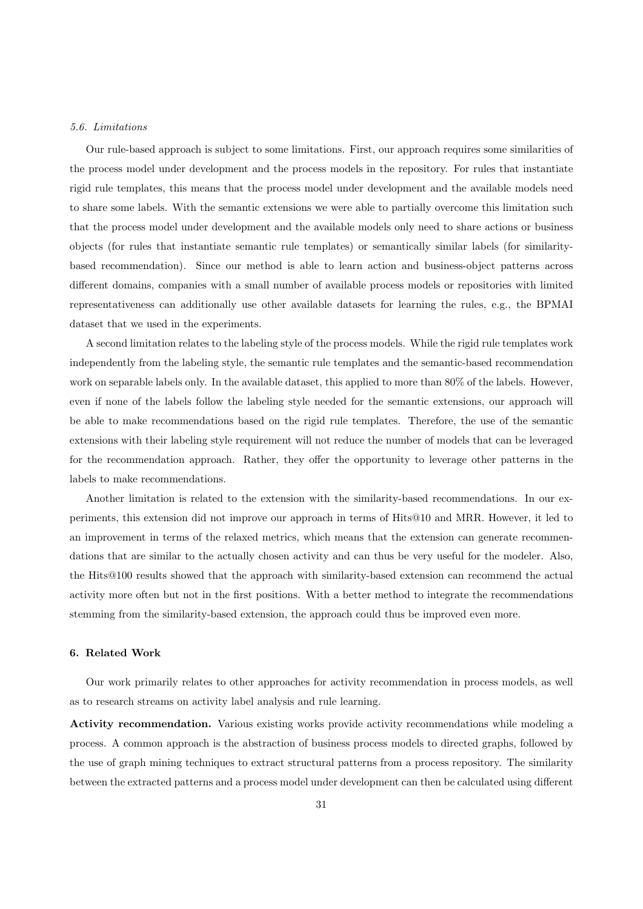### <span id="page-30-1"></span>5.6. Limitations

Our rule-based approach is subject to some limitations. First, our approach requires some similarities of the process model under development and the process models in the repository. For rules that instantiate rigid rule templates, this means that the process model under development and the available models need to share some labels. With the semantic extensions we were able to partially overcome this limitation such that the process model under development and the available models only need to share actions or business objects (for rules that instantiate semantic rule templates) or semantically similar labels (for similaritybased recommendation). Since our method is able to learn action and business-object patterns across different domains, companies with a small number of available process models or repositories with limited representativeness can additionally use other available datasets for learning the rules, e.g., the BPMAI dataset that we used in the experiments.

A second limitation relates to the labeling style of the process models. While the rigid rule templates work independently from the labeling style, the semantic rule templates and the semantic-based recommendation work on separable labels only. In the available dataset, this applied to more than 80% of the labels. However, even if none of the labels follow the labeling style needed for the semantic extensions, our approach will be able to make recommendations based on the rigid rule templates. Therefore, the use of the semantic extensions with their labeling style requirement will not reduce the number of models that can be leveraged for the recommendation approach. Rather, they offer the opportunity to leverage other patterns in the labels to make recommendations.

Another limitation is related to the extension with the similarity-based recommendations. In our experiments, this extension did not improve our approach in terms of Hits@10 and MRR. However, it led to an improvement in terms of the relaxed metrics, which means that the extension can generate recommendations that are similar to the actually chosen activity and can thus be very useful for the modeler. Also, the Hits@100 results showed that the approach with similarity-based extension can recommend the actual activity more often but not in the first positions. With a better method to integrate the recommendations stemming from the similarity-based extension, the approach could thus be improved even more.

### <span id="page-30-0"></span>6. Related Work

Our work primarily relates to other approaches for activity recommendation in process models, as well as to research streams on activity label analysis and rule learning.

Activity recommendation. Various existing works provide activity recommendations while modeling a process. A common approach is the abstraction of business process models to directed graphs, followed by the use of graph mining techniques to extract structural patterns from a process repository. The similarity between the extracted patterns and a process model under development can then be calculated using different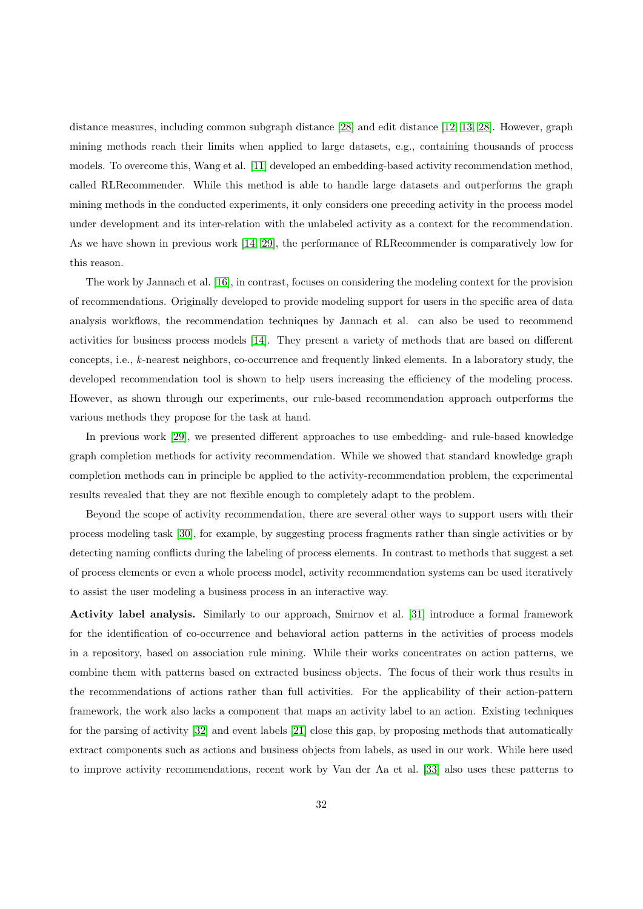distance measures, including common subgraph distance [\[28\]](#page-34-15) and edit distance [\[12,](#page-34-16) [13,](#page-34-0) [28\]](#page-34-15). However, graph mining methods reach their limits when applied to large datasets, e.g., containing thousands of process models. To overcome this, Wang et al. [\[11\]](#page-33-10) developed an embedding-based activity recommendation method, called RLRecommender. While this method is able to handle large datasets and outperforms the graph mining methods in the conducted experiments, it only considers one preceding activity in the process model under development and its inter-relation with the unlabeled activity as a context for the recommendation. As we have shown in previous work [\[14,](#page-34-1) [29\]](#page-34-17), the performance of RLRecommender is comparatively low for this reason.

The work by Jannach et al. [\[16\]](#page-34-3), in contrast, focuses on considering the modeling context for the provision of recommendations. Originally developed to provide modeling support for users in the specific area of data analysis workflows, the recommendation techniques by Jannach et al. can also be used to recommend activities for business process models [\[14\]](#page-34-1). They present a variety of methods that are based on different concepts, i.e., k-nearest neighbors, co-occurrence and frequently linked elements. In a laboratory study, the developed recommendation tool is shown to help users increasing the efficiency of the modeling process. However, as shown through our experiments, our rule-based recommendation approach outperforms the various methods they propose for the task at hand.

In previous work [\[29\]](#page-34-17), we presented different approaches to use embedding- and rule-based knowledge graph completion methods for activity recommendation. While we showed that standard knowledge graph completion methods can in principle be applied to the activity-recommendation problem, the experimental results revealed that they are not flexible enough to completely adapt to the problem.

Beyond the scope of activity recommendation, there are several other ways to support users with their process modeling task [\[30\]](#page-34-18), for example, by suggesting process fragments rather than single activities or by detecting naming conflicts during the labeling of process elements. In contrast to methods that suggest a set of process elements or even a whole process model, activity recommendation systems can be used iteratively to assist the user modeling a business process in an interactive way.

Activity label analysis. Similarly to our approach, Smirnov et al. [\[31\]](#page-34-19) introduce a formal framework for the identification of co-occurrence and behavioral action patterns in the activities of process models in a repository, based on association rule mining. While their works concentrates on action patterns, we combine them with patterns based on extracted business objects. The focus of their work thus results in the recommendations of actions rather than full activities. For the applicability of their action-pattern framework, the work also lacks a component that maps an activity label to an action. Existing techniques for the parsing of activity [\[32\]](#page-34-20) and event labels [\[21\]](#page-34-8) close this gap, by proposing methods that automatically extract components such as actions and business objects from labels, as used in our work. While here used to improve activity recommendations, recent work by Van der Aa et al. [\[33\]](#page-34-21) also uses these patterns to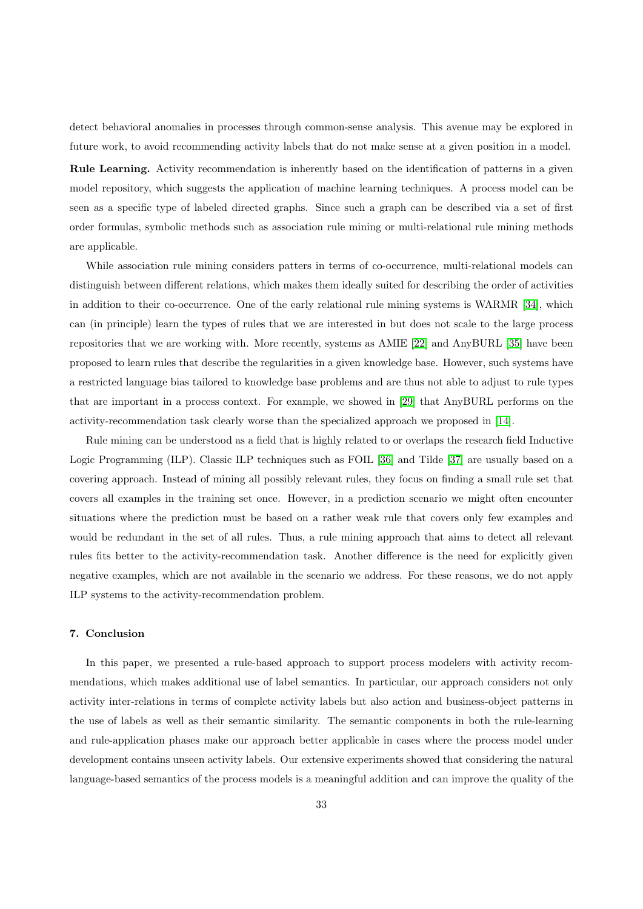detect behavioral anomalies in processes through common-sense analysis. This avenue may be explored in future work, to avoid recommending activity labels that do not make sense at a given position in a model.

Rule Learning. Activity recommendation is inherently based on the identification of patterns in a given model repository, which suggests the application of machine learning techniques. A process model can be seen as a specific type of labeled directed graphs. Since such a graph can be described via a set of first order formulas, symbolic methods such as association rule mining or multi-relational rule mining methods are applicable.

While association rule mining considers patters in terms of co-occurrence, multi-relational models can distinguish between different relations, which makes them ideally suited for describing the order of activities in addition to their co-occurrence. One of the early relational rule mining systems is WARMR [\[34\]](#page-34-22), which can (in principle) learn the types of rules that we are interested in but does not scale to the large process repositories that we are working with. More recently, systems as AMIE [\[22\]](#page-34-9) and AnyBURL [\[35\]](#page-35-0) have been proposed to learn rules that describe the regularities in a given knowledge base. However, such systems have a restricted language bias tailored to knowledge base problems and are thus not able to adjust to rule types that are important in a process context. For example, we showed in [\[29\]](#page-34-17) that AnyBURL performs on the activity-recommendation task clearly worse than the specialized approach we proposed in [\[14\]](#page-34-1).

Rule mining can be understood as a field that is highly related to or overlaps the research field Inductive Logic Programming (ILP). Classic ILP techniques such as FOIL [\[36\]](#page-35-1) and Tilde [\[37\]](#page-35-2) are usually based on a covering approach. Instead of mining all possibly relevant rules, they focus on finding a small rule set that covers all examples in the training set once. However, in a prediction scenario we might often encounter situations where the prediction must be based on a rather weak rule that covers only few examples and would be redundant in the set of all rules. Thus, a rule mining approach that aims to detect all relevant rules fits better to the activity-recommendation task. Another difference is the need for explicitly given negative examples, which are not available in the scenario we address. For these reasons, we do not apply ILP systems to the activity-recommendation problem.

# <span id="page-32-0"></span>7. Conclusion

In this paper, we presented a rule-based approach to support process modelers with activity recommendations, which makes additional use of label semantics. In particular, our approach considers not only activity inter-relations in terms of complete activity labels but also action and business-object patterns in the use of labels as well as their semantic similarity. The semantic components in both the rule-learning and rule-application phases make our approach better applicable in cases where the process model under development contains unseen activity labels. Our extensive experiments showed that considering the natural language-based semantics of the process models is a meaningful addition and can improve the quality of the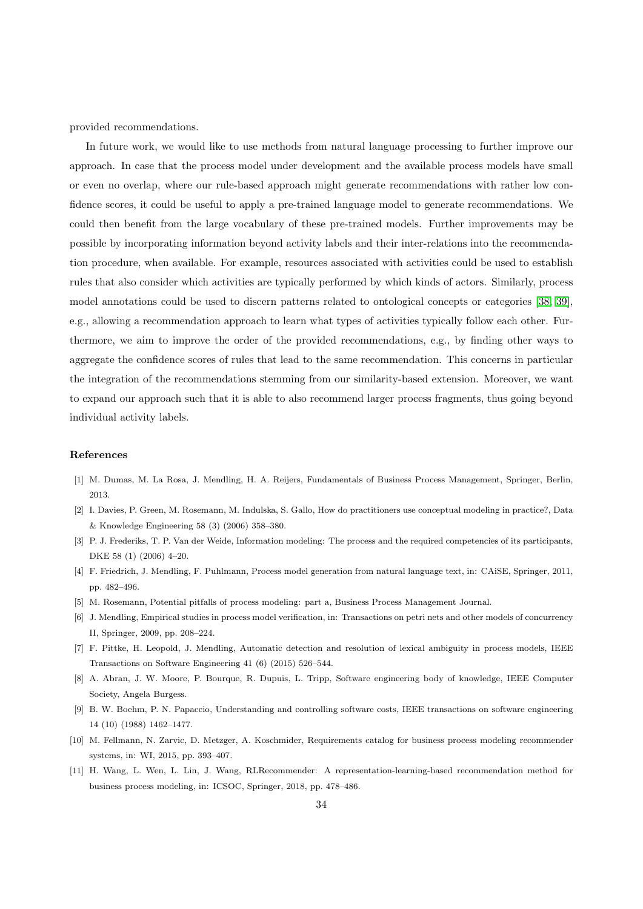provided recommendations.

In future work, we would like to use methods from natural language processing to further improve our approach. In case that the process model under development and the available process models have small or even no overlap, where our rule-based approach might generate recommendations with rather low confidence scores, it could be useful to apply a pre-trained language model to generate recommendations. We could then benefit from the large vocabulary of these pre-trained models. Further improvements may be possible by incorporating information beyond activity labels and their inter-relations into the recommendation procedure, when available. For example, resources associated with activities could be used to establish rules that also consider which activities are typically performed by which kinds of actors. Similarly, process model annotations could be used to discern patterns related to ontological concepts or categories [\[38,](#page-35-3) [39\]](#page-35-4), e.g., allowing a recommendation approach to learn what types of activities typically follow each other. Furthermore, we aim to improve the order of the provided recommendations, e.g., by finding other ways to aggregate the confidence scores of rules that lead to the same recommendation. This concerns in particular the integration of the recommendations stemming from our similarity-based extension. Moreover, we want to expand our approach such that it is able to also recommend larger process fragments, thus going beyond individual activity labels.

# References

- <span id="page-33-0"></span>[1] M. Dumas, M. La Rosa, J. Mendling, H. A. Reijers, Fundamentals of Business Process Management, Springer, Berlin, 2013.
- <span id="page-33-1"></span>[2] I. Davies, P. Green, M. Rosemann, M. Indulska, S. Gallo, How do practitioners use conceptual modeling in practice?, Data & Knowledge Engineering 58 (3) (2006) 358–380.
- <span id="page-33-2"></span>[3] P. J. Frederiks, T. P. Van der Weide, Information modeling: The process and the required competencies of its participants, DKE 58 (1) (2006) 4–20.
- <span id="page-33-3"></span>[4] F. Friedrich, J. Mendling, F. Puhlmann, Process model generation from natural language text, in: CAiSE, Springer, 2011, pp. 482–496.
- <span id="page-33-5"></span><span id="page-33-4"></span>[5] M. Rosemann, Potential pitfalls of process modeling: part a, Business Process Management Journal.
- [6] J. Mendling, Empirical studies in process model verification, in: Transactions on petri nets and other models of concurrency II, Springer, 2009, pp. 208–224.
- <span id="page-33-6"></span>[7] F. Pittke, H. Leopold, J. Mendling, Automatic detection and resolution of lexical ambiguity in process models, IEEE Transactions on Software Engineering 41 (6) (2015) 526–544.
- <span id="page-33-7"></span>[8] A. Abran, J. W. Moore, P. Bourque, R. Dupuis, L. Tripp, Software engineering body of knowledge, IEEE Computer Society, Angela Burgess.
- <span id="page-33-8"></span>[9] B. W. Boehm, P. N. Papaccio, Understanding and controlling software costs, IEEE transactions on software engineering 14 (10) (1988) 1462–1477.
- <span id="page-33-9"></span>[10] M. Fellmann, N. Zarvic, D. Metzger, A. Koschmider, Requirements catalog for business process modeling recommender systems, in: WI, 2015, pp. 393–407.
- <span id="page-33-10"></span>[11] H. Wang, L. Wen, L. Lin, J. Wang, RLRecommender: A representation-learning-based recommendation method for business process modeling, in: ICSOC, Springer, 2018, pp. 478–486.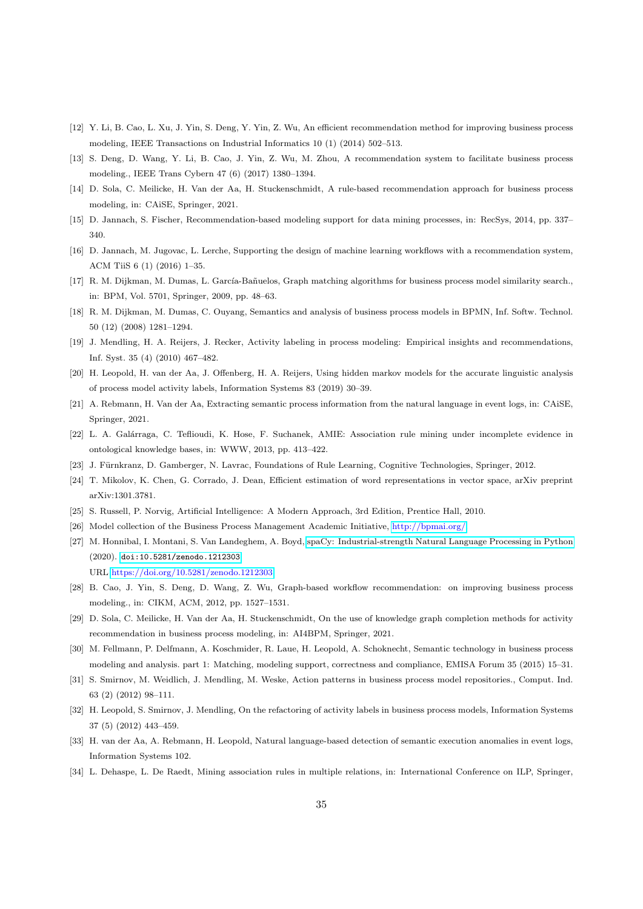- <span id="page-34-16"></span>[12] Y. Li, B. Cao, L. Xu, J. Yin, S. Deng, Y. Yin, Z. Wu, An efficient recommendation method for improving business process modeling, IEEE Transactions on Industrial Informatics 10 (1) (2014) 502–513.
- <span id="page-34-0"></span>[13] S. Deng, D. Wang, Y. Li, B. Cao, J. Yin, Z. Wu, M. Zhou, A recommendation system to facilitate business process modeling., IEEE Trans Cybern 47 (6) (2017) 1380–1394.
- <span id="page-34-1"></span>[14] D. Sola, C. Meilicke, H. Van der Aa, H. Stuckenschmidt, A rule-based recommendation approach for business process modeling, in: CAiSE, Springer, 2021.
- <span id="page-34-2"></span>[15] D. Jannach, S. Fischer, Recommendation-based modeling support for data mining processes, in: RecSys, 2014, pp. 337– 340.
- <span id="page-34-3"></span>[16] D. Jannach, M. Jugovac, L. Lerche, Supporting the design of machine learning workflows with a recommendation system, ACM TiiS 6 (1) (2016) 1–35.
- <span id="page-34-4"></span>[17] R. M. Dijkman, M. Dumas, L. García-Bañuelos, Graph matching algorithms for business process model similarity search., in: BPM, Vol. 5701, Springer, 2009, pp. 48–63.
- <span id="page-34-5"></span>[18] R. M. Dijkman, M. Dumas, C. Ouyang, Semantics and analysis of business process models in BPMN, Inf. Softw. Technol. 50 (12) (2008) 1281–1294.
- <span id="page-34-6"></span>[19] J. Mendling, H. A. Reijers, J. Recker, Activity labeling in process modeling: Empirical insights and recommendations, Inf. Syst. 35 (4) (2010) 467–482.
- <span id="page-34-7"></span>[20] H. Leopold, H. van der Aa, J. Offenberg, H. A. Reijers, Using hidden markov models for the accurate linguistic analysis of process model activity labels, Information Systems 83 (2019) 30–39.
- <span id="page-34-8"></span>[21] A. Rebmann, H. Van der Aa, Extracting semantic process information from the natural language in event logs, in: CAiSE, Springer, 2021.
- <span id="page-34-9"></span>[22] L. A. Galárraga, C. Teflioudi, K. Hose, F. Suchanek, AMIE: Association rule mining under incomplete evidence in ontological knowledge bases, in: WWW, 2013, pp. 413–422.
- <span id="page-34-10"></span>[23] J. Fürnkranz, D. Gamberger, N. Lavrac, Foundations of Rule Learning, Cognitive Technologies, Springer, 2012.
- <span id="page-34-11"></span>[24] T. Mikolov, K. Chen, G. Corrado, J. Dean, Efficient estimation of word representations in vector space, arXiv preprint arXiv:1301.3781.
- <span id="page-34-13"></span><span id="page-34-12"></span>[25] S. Russell, P. Norvig, Artificial Intelligence: A Modern Approach, 3rd Edition, Prentice Hall, 2010.
- <span id="page-34-14"></span>[26] Model collection of the Business Process Management Academic Initiative, [http://bpmai.org/.](http://bpmai.org/)
- [27] M. Honnibal, I. Montani, S. Van Landeghem, A. Boyd, [spaCy: Industrial-strength Natural Language Processing in Python](https://doi.org/10.5281/zenodo.1212303) (2020). [doi:10.5281/zenodo.1212303](http://dx.doi.org/10.5281/zenodo.1212303). URL <https://doi.org/10.5281/zenodo.1212303>
- <span id="page-34-15"></span>[28] B. Cao, J. Yin, S. Deng, D. Wang, Z. Wu, Graph-based workflow recommendation: on improving business process modeling., in: CIKM, ACM, 2012, pp. 1527–1531.
- <span id="page-34-17"></span>[29] D. Sola, C. Meilicke, H. Van der Aa, H. Stuckenschmidt, On the use of knowledge graph completion methods for activity recommendation in business process modeling, in: AI4BPM, Springer, 2021.
- <span id="page-34-18"></span>[30] M. Fellmann, P. Delfmann, A. Koschmider, R. Laue, H. Leopold, A. Schoknecht, Semantic technology in business process modeling and analysis. part 1: Matching, modeling support, correctness and compliance, EMISA Forum 35 (2015) 15–31.
- <span id="page-34-19"></span>[31] S. Smirnov, M. Weidlich, J. Mendling, M. Weske, Action patterns in business process model repositories., Comput. Ind. 63 (2) (2012) 98–111.
- <span id="page-34-20"></span>[32] H. Leopold, S. Smirnov, J. Mendling, On the refactoring of activity labels in business process models, Information Systems 37 (5) (2012) 443–459.
- <span id="page-34-21"></span>[33] H. van der Aa, A. Rebmann, H. Leopold, Natural language-based detection of semantic execution anomalies in event logs, Information Systems 102.
- <span id="page-34-22"></span>[34] L. Dehaspe, L. De Raedt, Mining association rules in multiple relations, in: International Conference on ILP, Springer,